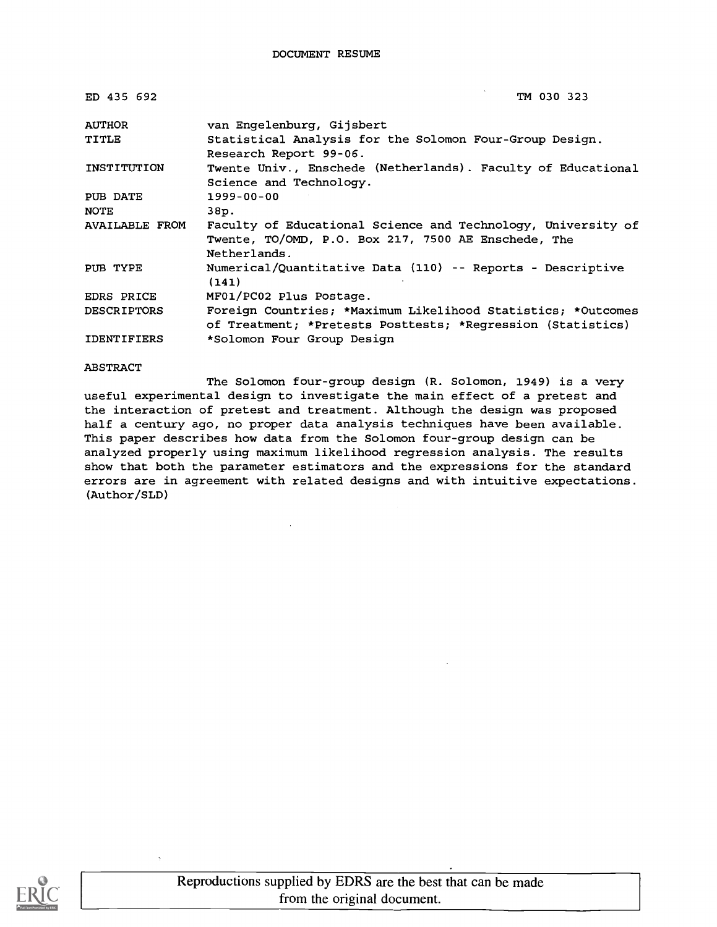| ED 435 692         | TM 030 323                                                                                                                          |
|--------------------|-------------------------------------------------------------------------------------------------------------------------------------|
| <b>AUTHOR</b>      | van Engelenburg, Gijsbert                                                                                                           |
| TITLE              | Statistical Analysis for the Solomon Four-Group Design.<br>Research Report 99-06.                                                   |
| INSTITUTION        | Twente Univ., Enschede (Netherlands). Faculty of Educational<br>Science and Technology.                                             |
| PUB DATE           | 1999-00-00                                                                                                                          |
| <b>NOTE</b>        | 38p.                                                                                                                                |
| AVAILABLE FROM     | Faculty of Educational Science and Technology, University of<br>Twente, TO/OMD, P.O. Box 217, 7500 AE Enschede, The<br>Netherlands. |
| PUB TYPE           | Numerical/Quantitative Data (110) -- Reports - Descriptive<br>(141)                                                                 |
| EDRS PRICE         | MF01/PC02 Plus Postage.                                                                                                             |
| <b>DESCRIPTORS</b> | Foreign Countries; *Maximum Likelihood Statistics; *Outcomes<br>of Treatment; *Pretests Posttests; *Reqression (Statistics)         |
| <b>IDENTIFIERS</b> | *Solomon Four Group Design                                                                                                          |

#### ABSTRACT

The Solomon four-group design (R. Solomon, 1949) is a very useful experimental design to investigate the main effect of a pretest and the interaction of pretest and treatment. Although the design was proposed half a century ago, no proper data analysis techniques have been available. This paper describes how data from the Solomon four-group design can be analyzed properly using maximum likelihood regression analysis. The results show that both the parameter estimators and the expressions for the standard errors are in agreement with related designs and with intuitive expectations. (Author /SLD)

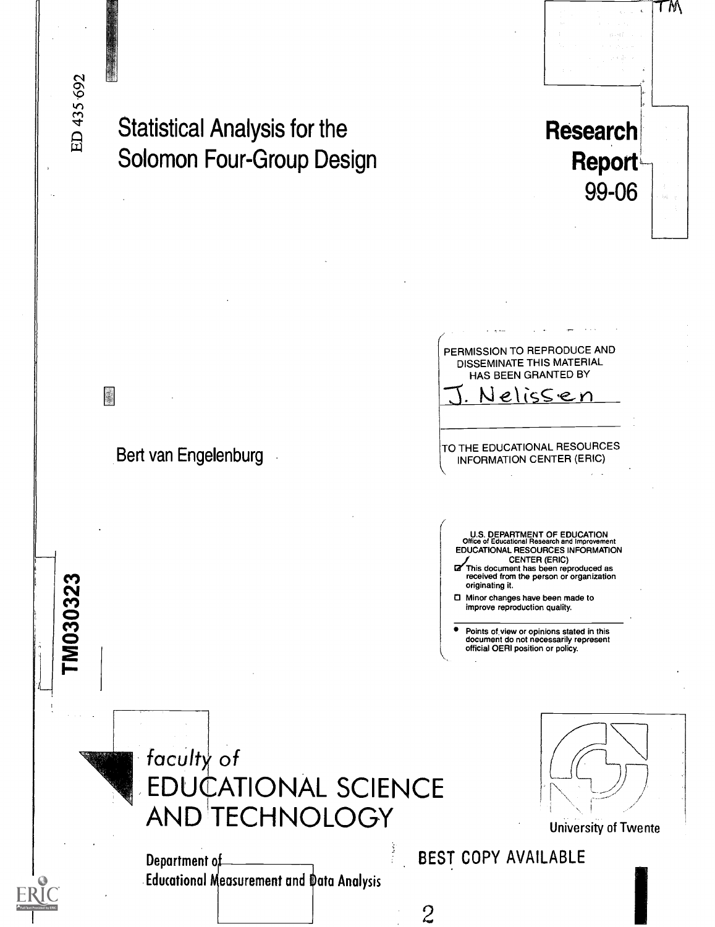M030323

# Statistical Analysis for the Solomon Four-Group Design

Bert van Engelenburg

PERMISSION TO REPRODUCE AND DISSEMINATE THIS MATERIAL HAS BEEN GRANTED BY elicsen

Research

Report

TM

99-06

TO THE EDUCATIONAL RESOURCES INFORMATION CENTER (ERIC)

U.S. DEPARTMENT OF EDUCATION Office of Educational Research and Improvement EDUCATIONAL RESOURCES INFORMATION CENTER (ERIC)

This document has been reproduced as received from the person or organization originating it.

Minor changes have been made to improve reproduction quality.

Points of view or opinions stated in this document do not necessarily represent official OERI position or policy.



Department of **Educational Measurement and Data Analysis** 



University of Twente

BEST COPY AVAILABLE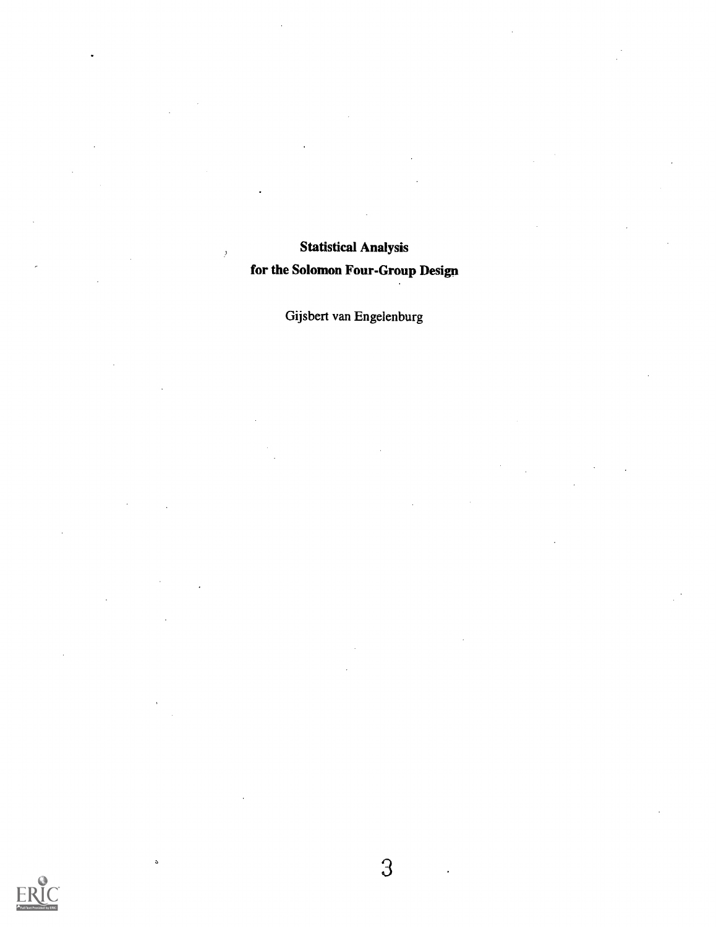### Statistical Analysis for the Solomon Four-Group Design

 $\cdot$ 

Gijsbert van Engelenburg



b.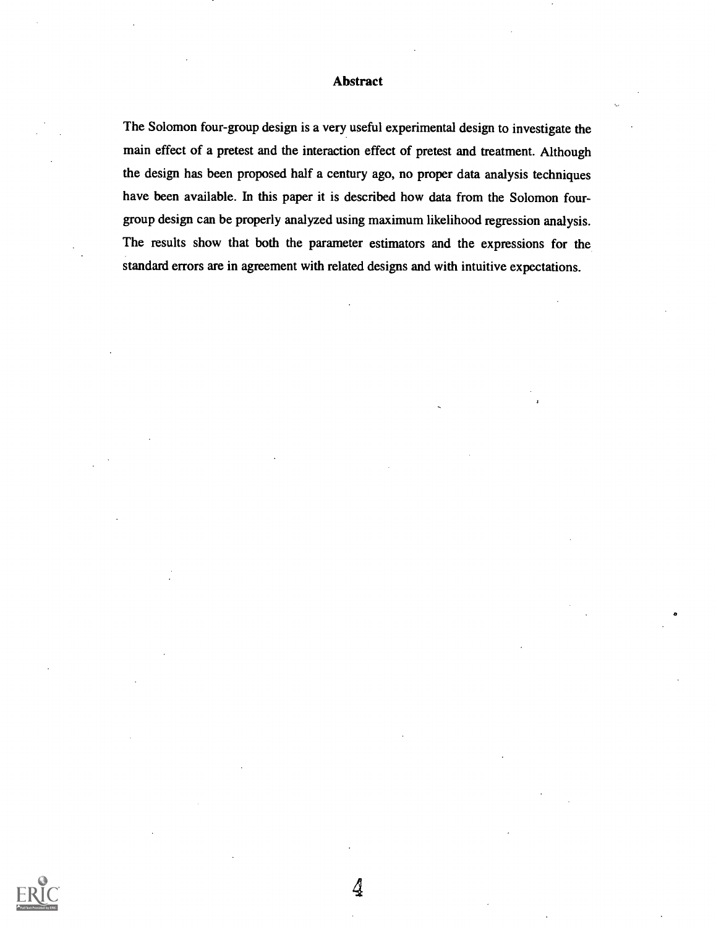#### Abstract

The Solomon four-group design is a very useful experimental design to investigate the main effect of a pretest and the interaction effect of pretest and treatment. Although the design has been proposed half a century ago, no proper data analysis techniques have been available. In this paper it is described how data from the Solomon fourgroup design can be properly analyzed using maximum likelihood regression analysis. The results show that both the parameter estimators and the expressions for the standard errors are in agreement with related designs and with intuitive expectations.

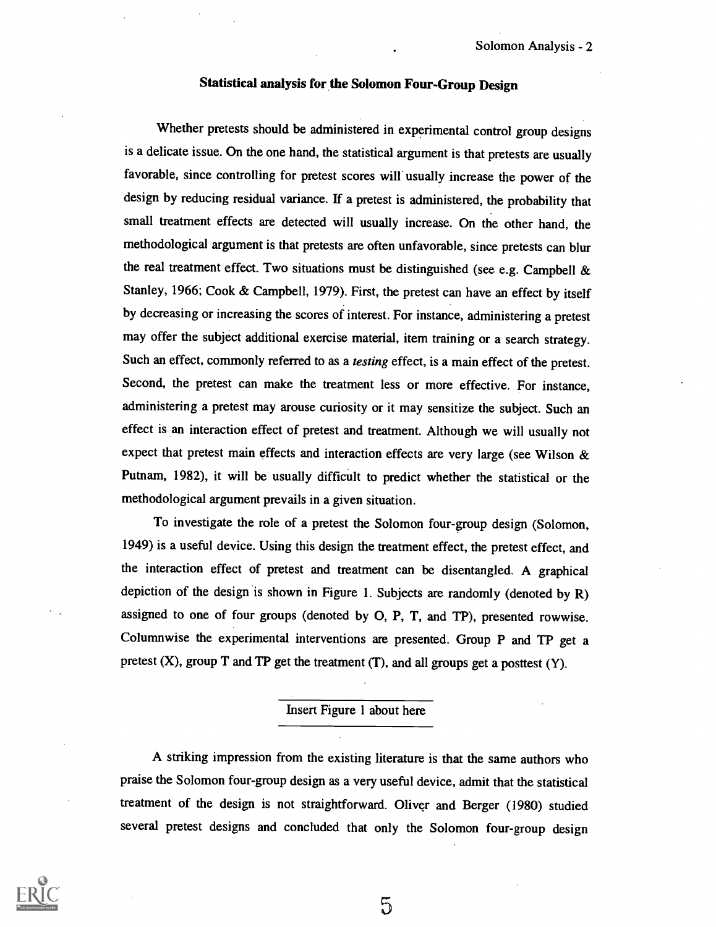#### Statistical analysis for the Solomon Four-Group Design

Whether pretests should be administered in experimental control group designs is a delicate issue. On the one hand, the statistical argument is that pretests are usually favorable, since controlling for pretest scores will usually increase the power of the design by reducing residual variance. If a pretest is administered, the probability that small treatment effects are detected will usually increase. On the other hand, the methodological argument is that pretests are often unfavorable, since pretests can blur the real treatment effect. Two situations must be distinguished (see e.g. Campbell & Stanley, 1966; Cook & Campbell, 1979). First, the pretest can have an effect by itself by decreasing or increasing the scores of interest. For instance, administering a pretest may offer the subject additional exercise material, item training or a search strategy. Such an effect, commonly referred to as a testing effect, is a main effect of the pretest. Second, the pretest can make the treatment less or more effective. For instance, administering a pretest may arouse curiosity or it may sensitize the subject. Such an effect is an interaction effect of pretest and treatment. Although we will usually not expect that pretest main effects and interaction effects are very large (see Wilson & Putnam, 1982), it will be usually difficult to predict whether the statistical or the methodological argument prevails in a given situation.

To investigate the role of a pretest the Solomon four-group design (Solomon, 1949) is a useful device. Using this design the treatment effect, the pretest effect, and the interaction effect of pretest and treatment can be disentangled. A graphical depiction of the design is shown in Figure 1. Subjects are randomly (denoted by R) assigned to one of four groups (denoted by 0, P, T, and TP), presented rowwise. Columnwise the experimental interventions are presented. Group P and TP get a pretest  $(X)$ , group T and TP get the treatment  $(T)$ , and all groups get a posttest  $(Y)$ .

#### Insert Figure 1 about here

A striking impression from the existing literature is that the same authors who praise the Solomon four-group design as a very useful device, admit that the statistical treatment of the design is not straightforward. Oliver and Berger (1980) studied several pretest designs and concluded that only the Solomon four-group design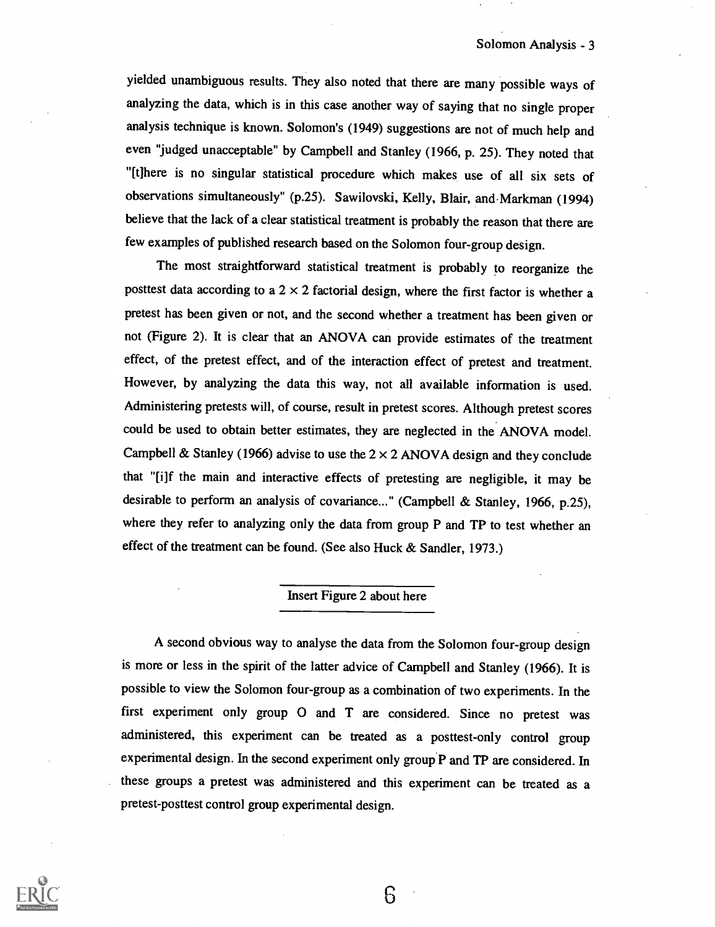yielded unambiguous results. They also noted that there are many possible ways of analyzing the data, which is in this case another way of saying that no single proper analysis technique is known. Solomon's (1949) suggestions are not of much help and even "judged unacceptable" by Campbell and Stanley (1966, p. 25). They noted that "[t]here is no singular statistical procedure which makes use of all six sets of observations simultaneously" (p.25). Sawilovski, Kelly, Blair, and Markman (1994) believe that the lack of a clear statistical treatment is probably the reason that there are few examples of published research based on the Solomon four-group design.

The most straightforward statistical treatment is probably to reorganize the posttest data according to a  $2 \times 2$  factorial design, where the first factor is whether a pretest has been given or not, and the second whether a treatment has been given or not (Figure 2). It is clear that an ANOVA can provide estimates of the treatment effect, of the pretest effect, and of the interaction effect of pretest and treatment. However, by analyzing the data this way, not all available information is used. Administering pretests will, of course, result in pretest scores. Although pretest scores could be used to obtain better estimates, they are neglected in the ANOVA model. Campbell & Stanley (1966) advise to use the  $2 \times 2$  ANOVA design and they conclude that "[i]f the main and interactive effects of pretesting are negligible, it may be desirable to perform an analysis of covariance..." (Campbell & Stanley, 1966, p.25), where they refer to analyzing only the data from group P and TP to test whether an effect of the treatment can be found. (See also Huck & Sandler, 1973.)

#### Insert Figure 2 about here

A second obvious way to analyse the data from the Solomon four-group design is more or less in the spirit of the latter advice of Campbell and Stanley (1966). It is possible to view the Solomon four-group as a combination of two experiments. In the first experiment only group 0 and T are considered. Since no pretest was administered, this experiment can be treated as a posttest-only control group experimental design. In the second experiment only group P and TP are considered. In these groups a pretest was administered and this experiment can be treated as a pretest-posttest control group experimental design.

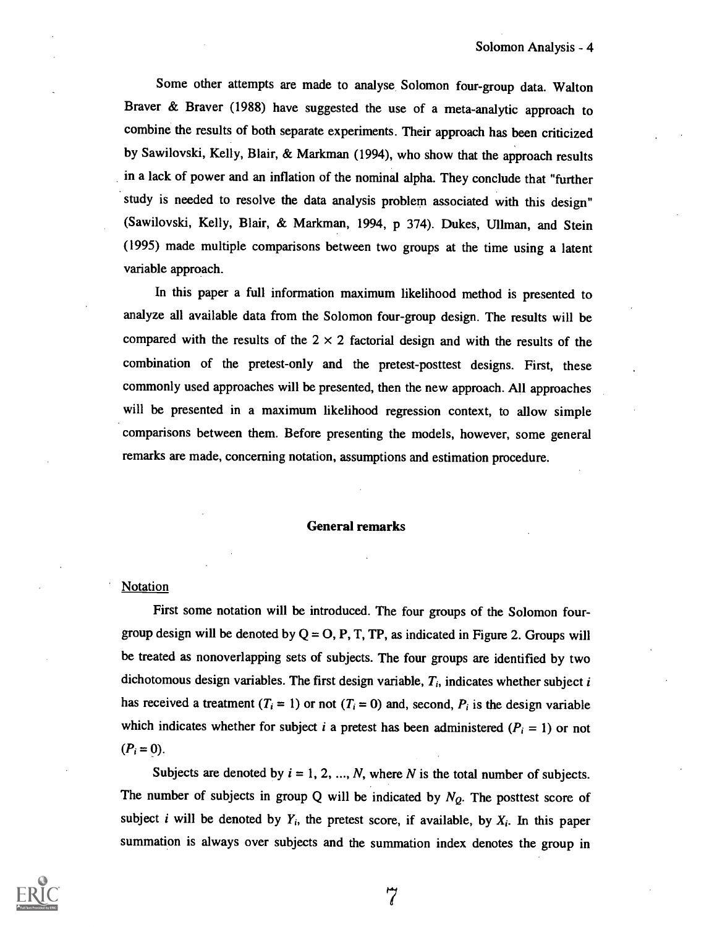Some other attempts are made to analyse. Solomon four-group data. Walton Braver & Braver (1988) have suggested the use of a meta-analytic approach to combine the results of both separate experiments. Their approach has been criticized by Sawilovski, Kelly, Blair, & Markman (1994), who show that the approach results in a lack of power and an inflation of the nominal alpha. They conclude that "further study is needed to resolve the data analysis problem associated with this design" ( Sawilovski, Kelly, Blair, & Markman, 1994, p 374). Dukes, Ullman, and Stein (1995) made multiple comparisons between two groups at the time using a latent variable approach.

In this paper a full information maximum likelihood method is presented to analyze all available data from the Solomon four-group design. The results will be compared with the results of the  $2 \times 2$  factorial design and with the results of the combination of the pretest-only and the pretest-posttest designs. First, these commonly used approaches will be presented, then the new approach. All approaches will be presented in a maximum likelihood regression context, to allow simple comparisons between them. Before presenting the models, however, some general remarks are made, concerning notation, assumptions and estimation procedure.

#### General remarks

#### Notation

First some notation will be introduced. The four groups of the Solomon fourgroup design will be denoted by  $Q = O$ , P, T, TP, as indicated in Figure 2. Groups will be treated as nonoverlapping sets of subjects. The four groups are identified by two dichotomous design variables. The first design variable,  $T_i$ , indicates whether subject i has received a treatment ( $T_i = 1$ ) or not ( $T_i = 0$ ) and, second,  $P_i$  is the design variable which indicates whether for subject i a pretest has been administered ( $P_i = 1$ ) or not  $(P_i = 0)$ .

Subjects are denoted by  $i = 1, 2, ..., N$ , where N is the total number of subjects. The number of subjects in group Q will be indicated by  $N_Q$ . The posttest score of subject i will be denoted by  $Y_i$ , the pretest score, if available, by  $X_i$ . In this paper summation is always over subjects and the summation index denotes the group in

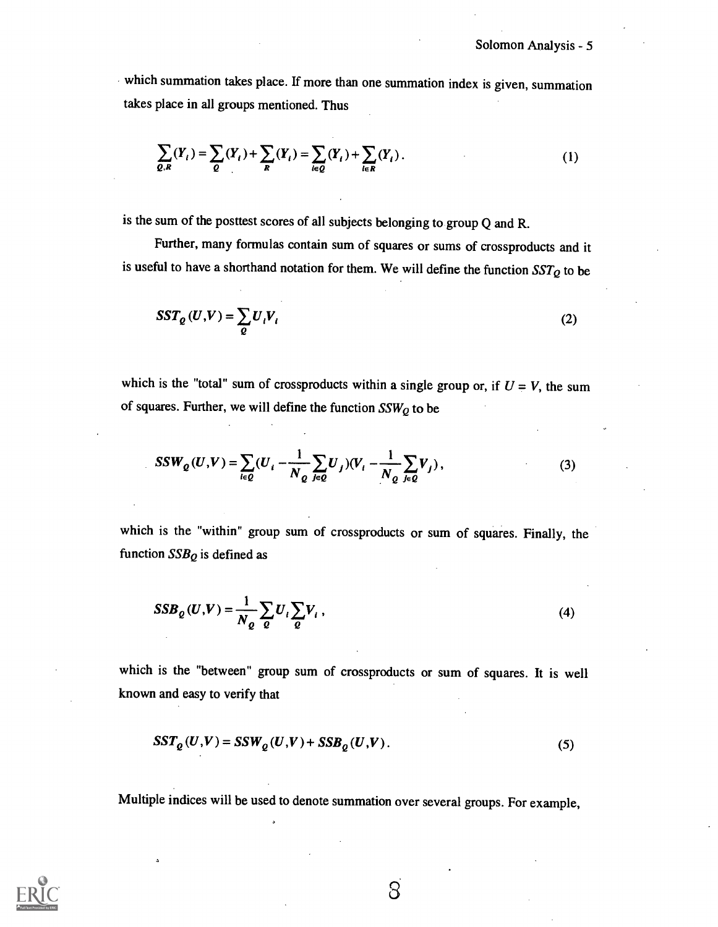which summation takes place. If more than one summation index is given, summation takes place in all groups mentioned. Thus

$$
\sum_{Q,R}(Y_i) = \sum_{Q}(Y_i) + \sum_{R}(Y_i) = \sum_{i \in Q}(Y_i) + \sum_{i \in R}(Y_i).
$$
 (1)

is the sum of the posttest scores of all subjects belonging to group Q and R.

Further, many formulas contain sum of squares or sums of crossproducts and it is useful to have a shorthand notation for them. We will define the function  $SST_Q$  to be

$$
SST_{Q}(U,V) = \sum_{Q} U_{i}V_{i}
$$
 (2)

which is the "total" sum of crossproducts within a single group or, if  $U = V$ , the sum of squares. Further, we will define the function  $SSW_Q$  to be

$$
SSW_{Q}(U,V) = \sum_{i \in Q} (U_{i} - \frac{1}{N_{Q}} \sum_{j \in Q} U_{j})(V_{i} - \frac{1}{N_{Q}} \sum_{j \in Q} V_{j}),
$$
\n(3)

which is the "within" group sum of crossproducts or sum of squares. Finally, the function  $SSB_Q$  is defined as

$$
SSB_{\varrho}(U,V) = \frac{1}{N_{\varrho}} \sum_{\varrho} U_i \sum_{\varrho} V_i , \qquad (4)
$$

which is the "between" group sum of crossproducts or sum of squares. It is well known and easy to verify that

$$
SST_{Q}(U,V) = SSW_{Q}(U,V) + SSB_{Q}(U,V). \qquad (5)
$$

Multiple indices will be used to denote summation over several groups. For example,



 $\delta$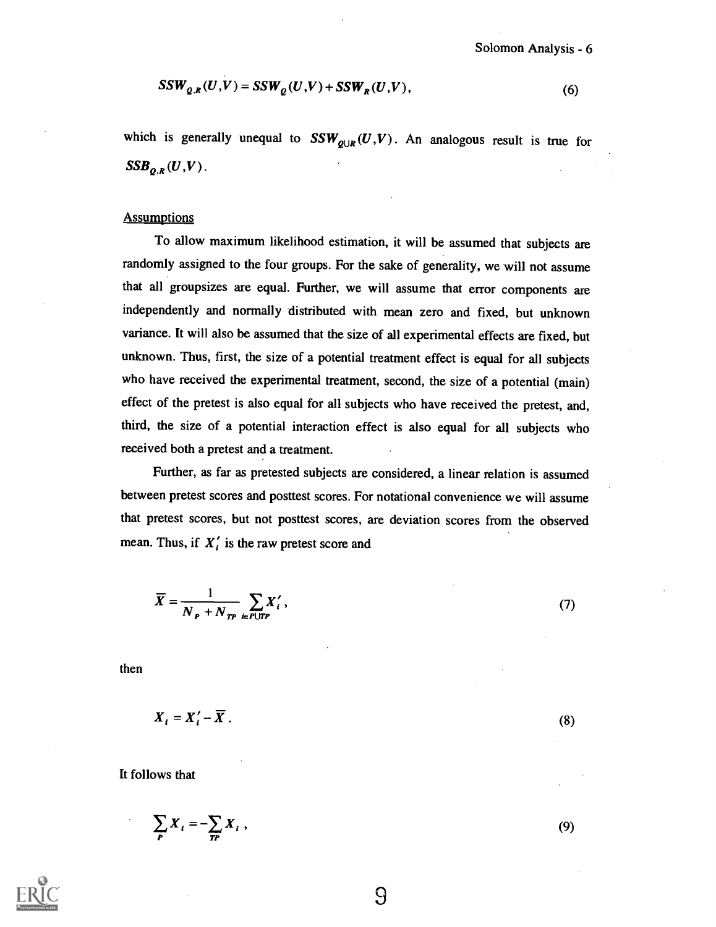$$
SSW_{Q,R}(U,V) = SSW_Q(U,V) + SSW_R(U,V),\tag{6}
$$

which is generally unequal to  $SSW_{Q\cup R}(U,V)$ . An analogous result is true for  $\label{eq:ssb} \textit{SSB}_{\varrho,\textit{k}}(U,V)\,.$ 

#### **Assumptions**

To allow maximum likelihood estimation, it will be assumed that subjects are randomly assigned to the four groups. For the sake of generality, we will not assume that all groupsizes are equal. Further, we will assume that error components are independently and normally distributed with mean zero and fixed, but unknown variance. It will also be assumed that the size of all experimental effects are fixed, but unknown. Thus, first, the size of a potential treatment effect is equal for all subjects who have received the experimental treatment, second, the size of a potential (main) effect of the pretest is also equal for all subjects who have received the pretest, and, third, the size of a potential interaction effect is also equal for all subjects who received both a pretest and a treatment.

Further, as far as pretested subjects are considered, a linear relation is assumed between pretest scores and posttest scores. For notational convenience we will assume that pretest scores, but not posttest scores, are deviation scores from the observed mean. Thus, if  $X_i'$  is the raw pretest score and

$$
\overline{Y} = \frac{1}{N_P + N_{TP}} \sum_{i \in P \cup TP} X'_i,
$$

then

$$
X_i = X'_i - \overline{X} \, .
$$

It follows that

Ĵ

$$
\sum_{P} X_i = -\sum_{P} X_i ,
$$



9

(8)

(9)

(7)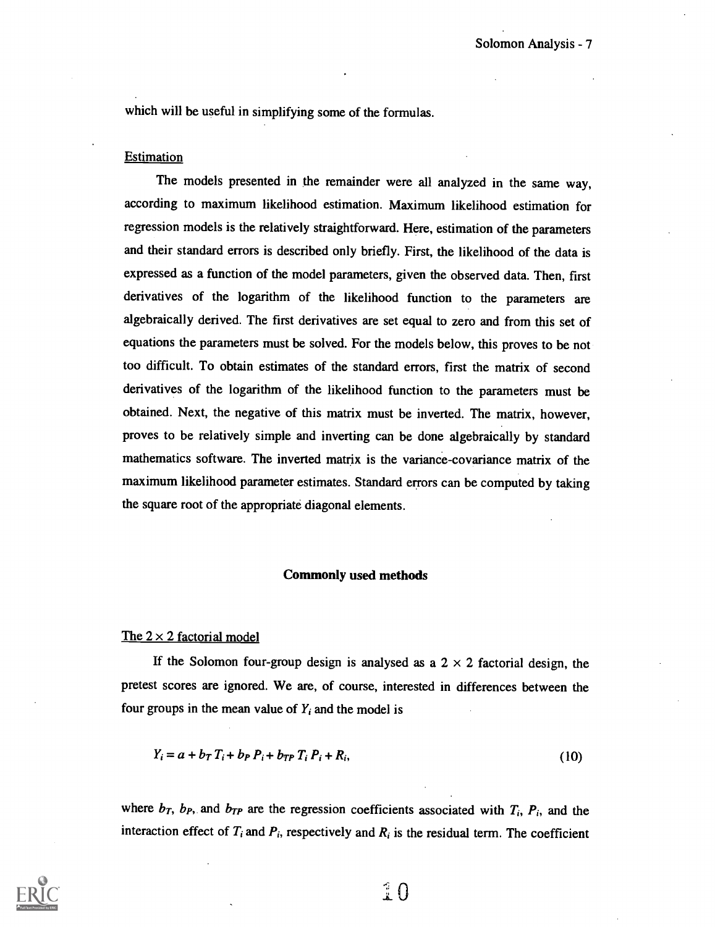which will be useful in simplifying some of the formulas.

#### **Estimation**

The models presented in the remainder were all analyzed in the same way, according to maximum likelihood estimation. Maximum likelihood estimation for regression models is the relatively straightforward. Here, estimation of the parameters and their standard errors is described only briefly. First, the likelihood of the data is expressed as a function of the model parameters, given the observed data. Then, first derivatives of the logarithm of the likelihood function to the parameters are algebraically derived. The first derivatives are set equal to zero and from this set of equations the parameters must be solved. For the models below, this proves to be not too difficult. To obtain estimates of the standard errors, first the matrix of second derivatives of the logarithm of the likelihood function to the parameters must be obtained. Next, the negative of this matrix must be inverted. The matrix, however, proves to be relatively simple and inverting can be done algebraically by standard mathematics software. The inverted matrix is the variance-covariance matrix of the maximum likelihood parameter estimates. Standard errors can be computed by taking the square root of the appropriate diagonal elements.

#### Commonly used methods

#### The  $2 \times 2$  factorial model

If the Solomon four-group design is analysed as a  $2 \times 2$  factorial design, the pretest scores are ignored. We are, of course, interested in differences between the four groups in the mean value of  $Y_i$  and the model is

$$
Y_i = a + b_T T_i + b_P P_i + b_{TP} T_i P_i + R_i,
$$
\n(10)

where  $b_T$ ,  $b_P$ , and  $b_{TP}$  are the regression coefficients associated with  $T_i$ ,  $P_i$ , and the interaction effect of  $T_i$  and  $P_i$ , respectively and  $R_i$  is the residual term. The coefficient



 $\hat{P}$   $\Omega$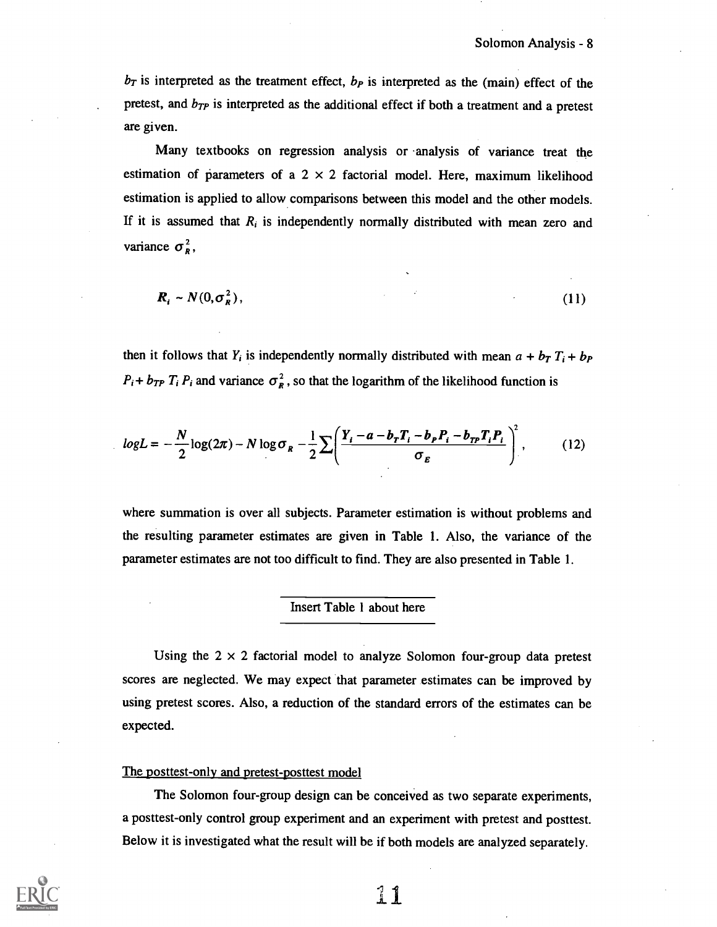$b_T$  is interpreted as the treatment effect,  $b_P$  is interpreted as the (main) effect of the pretest, and  $b_{TP}$  is interpreted as the additional effect if both a treatment and a pretest are given.

Many textbooks on regression analysis or analysis of variance treat the estimation of parameters of a  $2 \times 2$  factorial model. Here, maximum likelihood estimation is applied to allow comparisons between this model and the other models. If it is assumed that  $R_i$  is independently normally distributed with mean zero and variance  $\sigma_{\rm R}^2$ ,

$$
\boldsymbol{R}_i \sim N(0, \sigma_R^2), \tag{11}
$$

then it follows that  $Y_i$  is independently normally distributed with mean  $a + b_T T_i + b_P$  $P_i + b_{TP} T_i P_i$  and variance  $\sigma_R^2$ , so that the logarithm of the likelihood function is

$$
logL = -\frac{N}{2}\log(2\pi) - N\log\sigma_R - \frac{1}{2}\sum \left(\frac{Y_i - a - b_rT_i - b_pP_i - b_{rp}T_iP_i}{\sigma_E}\right)^2, \quad (12)
$$

where summation is over all subjects. Parameter estimation is without problems and the resulting parameter estimates are given in Table 1. Also, the variance of the parameter estimates are not too difficult to find. They are also presented in Table 1.

#### Insert Table 1 about here

Using the  $2 \times 2$  factorial model to analyze Solomon four-group data pretest scores are neglected. We may expect that parameter estimates can be improved by using pretest scores. Also, a reduction of the standard errors of the estimates can be expected.

#### The posttest-only and pretest-posttest model

The Solomon four-group design can be conceived as two separate experiments, a posttest-only control group experiment and an experiment with pretest and posttest. Below it is investigated what the result will be if both models are analyzed separately.

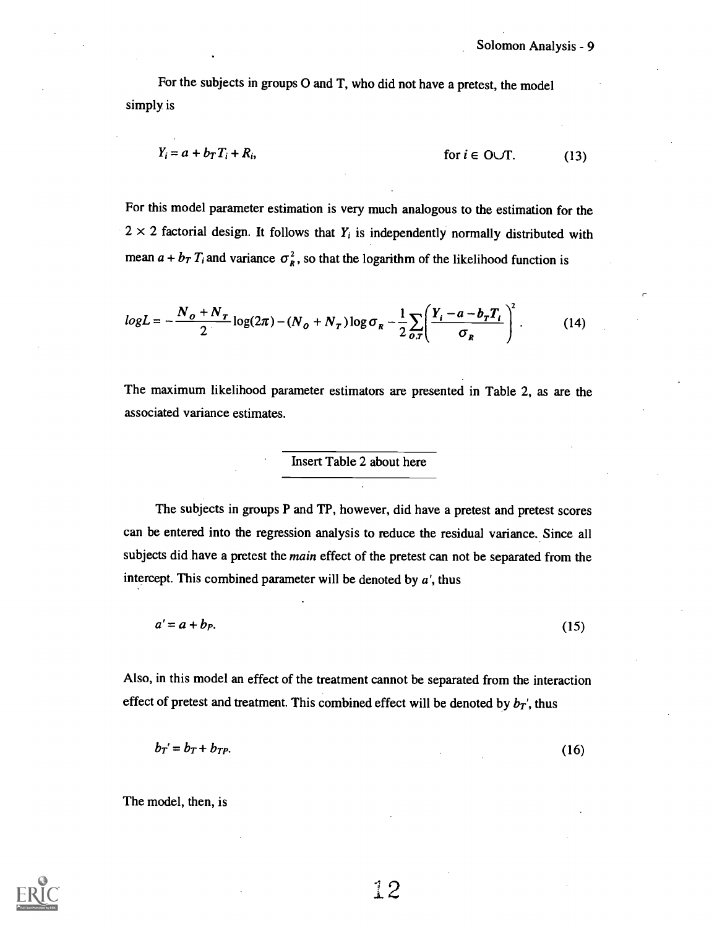For the subjects in groups 0 and T, who did not have a pretest, the model simply is

$$
Y_i = a + b_T T_i + R_i, \qquad \text{for } i \in \text{O} \cup \text{T}. \tag{13}
$$

For this model parameter estimation is very much analogous to the estimation for the  $2 \times 2$  factorial design. It follows that  $Y_i$  is independently normally distributed with mean  $a + b_T T_i$  and variance  $\sigma_R^2$ , so that the logarithm of the likelihood function is

$$
logL = -\frac{N_o + N_T}{2} log(2\pi) - (N_o + N_T) log \sigma_R - \frac{1}{2} \sum_{o, r} \left( \frac{Y_i - a - b_r T_i}{\sigma_R} \right)^2.
$$
 (14)

The maximum likelihood parameter estimators are presented in Table 2, as are the associated variance estimates.

#### Insert Table 2 about here

The subjects in groups P and TP, however, did have a pretest and pretest scores can be entered into the regression analysis to reduce the residual variance. Since all subjects did have a pretest the main effect of the pretest can not be separated from the intercept. This combined parameter will be denoted by  $a'$ , thus

 $a' = a + b_P.$  (15)

Also, in this model an effect of the treatment cannot be separated from the interaction effect of pretest and treatment. This combined effect will be denoted by  $b_T$ , thus

$$
b_T = b_T + b_{TP}.\tag{16}
$$

The model, then, is

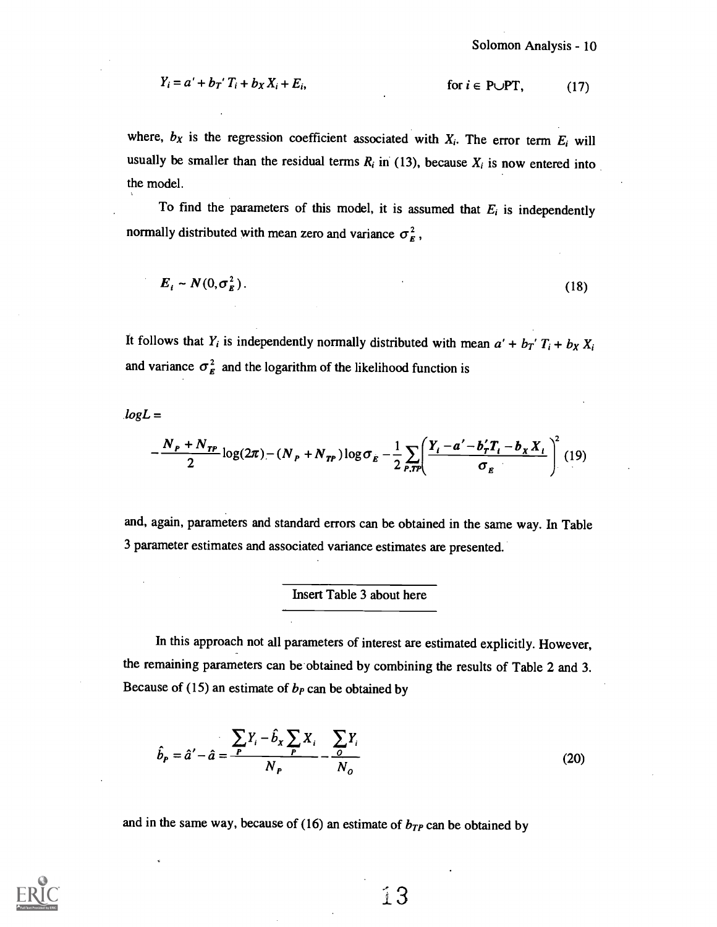$$
Y_i = a' + b_T' T_i + b_X X_i + E_i, \qquad \text{for } i \in \text{P} \cup \text{PT}, \qquad (17)
$$

where,  $b_X$  is the regression coefficient associated with  $X_i$ . The error term  $E_i$  will usually be smaller than the residual terms  $R_i$  in (13), because  $X_i$  is now entered into the model.

To find the parameters of this model, it is assumed that  $E_i$  is independently normally distributed with mean zero and variance  $\sigma_{g}^{2}$ ,

$$
E_i \sim N(0, \sigma_E^2). \tag{18}
$$

It follows that  $Y_i$  is independently normally distributed with mean  $a' + b_T' T_i + b_X X_i$ and variance  $\sigma_{\rm g}^2$  and the logarithm of the likelihood function is

 $log L =$ 

$$
-\frac{N_{P}+N_{TP}}{2}\log(2\pi)-(N_{P}+N_{TP})\log\sigma_{E}-\frac{1}{2}\sum_{P,TP}\left(\frac{Y_{i}-a'-b_{T}'T_{i}-b_{X}X_{i}}{\sigma_{E}}\right)^{2}
$$
(19)

and, again, parameters and standard errors can be obtained in the same way. In Table 3 parameter estimates and associated variance estimates are presented.

#### Insert Table 3 about here

In this approach not all parameters of interest are estimated explicitly. However, the remaining parameters can be obtained by combining the results of Table 2 and 3. Because of (15) an estimate of  $b<sub>P</sub>$  can be obtained by

$$
\hat{b}_P = \hat{a}' - \hat{a} = \frac{\sum F_i - \hat{b}_x \sum_P X_i}{N_P} - \frac{\sum \sum_i Y_i}{N_Q}
$$
\n(20)

and in the same way, because of (16) an estimate of  $b_{TP}$  can be obtained by

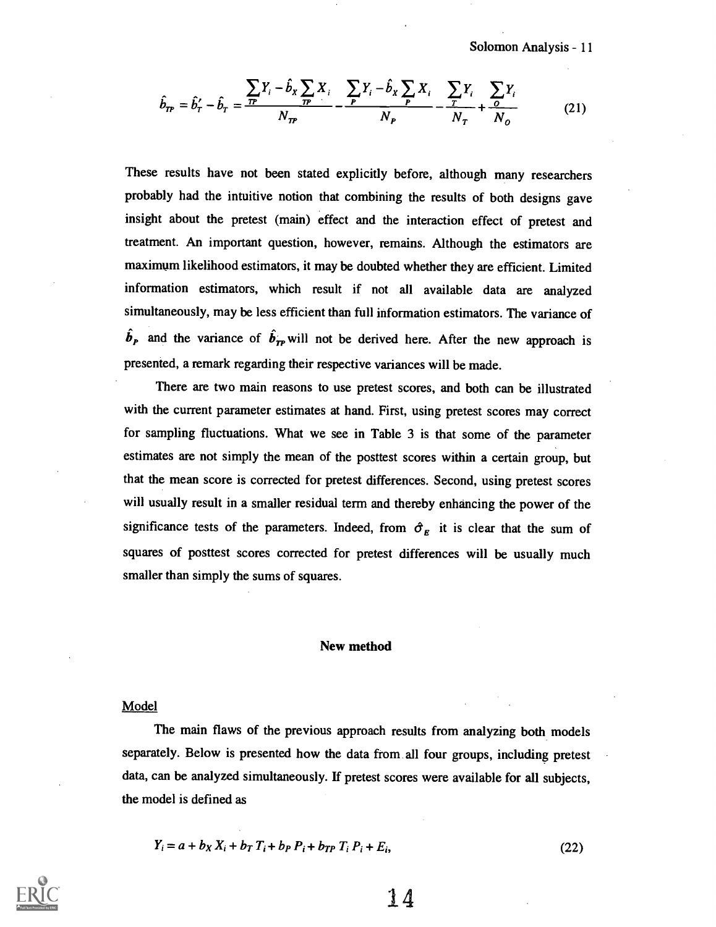Solomon Analysis - 11

$$
\hat{b}_{TP} = \hat{b}'_T - \hat{b}_T = \frac{\sum_{TP} Y_i - \hat{b}_x \sum_{TP} X_i}{N_{TP}} - \frac{\sum_{P} Y_i - \hat{b}_x \sum_{P} X_i}{N_{P}} - \frac{\sum_{T} Y_i}{N_{T}} + \frac{\sum_{O} Y_i}{N_{O}}
$$
(21)

These results have not been stated explicitly before, although many researchers probably had the intuitive notion that combining the results of both designs gave insight about the pretest (main) effect and the interaction effect of pretest and treatment. An important question, however, remains. Although the estimators are maximum likelihood estimators, it may be doubted whether they are efficient. Limited information estimators, which result if not all available data are analyzed simultaneously, may be less efficient than full information estimators. The variance of  $\hat{b}_P$  and the variance of  $\hat{b}_{TP}$  will not be derived here. After the new approach is presented, a remark regarding their respective variances will be made.

There are two main reasons to use pretest scores, and both can be illustrated with the current parameter estimates at hand. First, using pretest scores may correct for sampling fluctuations. What we see in Table 3 is that some of the parameter estimates are not simply the mean of the posttest scores within a certain group, but that the mean score is corrected for pretest differences. Second, using pretest scores will usually result in a smaller residual term and thereby enhancing the power of the significance tests of the parameters. Indeed, from  $\hat{\sigma}_E$  it is clear that the sum of squares of posttest scores corrected for pretest differences will be usually much smaller than simply the sums of squares.

#### New method

#### Model

The main flaws of the previous approach results from analyzing both models separately. Below is presented how the data from all four groups, including pretest data, can be analyzed simultaneously. If pretest scores were available for all subjects, the model is defined as

$$
Y_i = a + b_X X_i + b_T T_i + b_P P_i + b_{TP} T_i P_i + E_i,
$$
\n(22)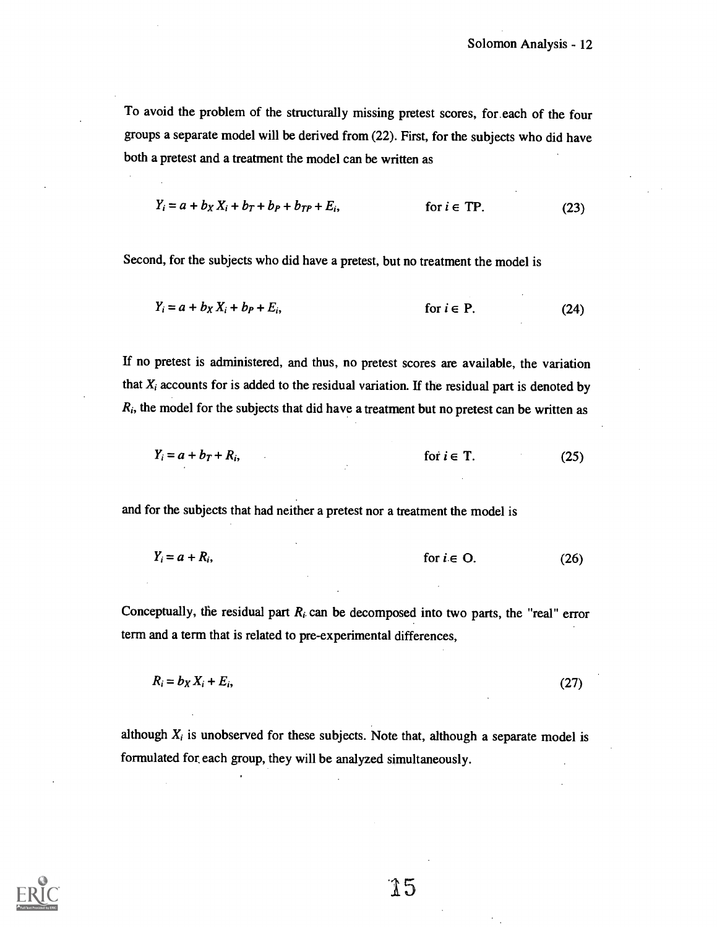To avoid the problem of the structurally missing pretest scores, for.each of the four groups a separate model will be derived from (22). First, for the subjects who did have both a pretest and a treatment the model can be written as

$$
Y_i = a + b_X X_i + b_T + b_P + b_{TP} + E_i, \qquad \text{for } i \in \text{TP}. \tag{23}
$$

Second, for the subjects who did have a pretest, but no treatment the model is

$$
Y_i = a + b_X X_i + b_P + E_i, \qquad \text{for } i \in P. \tag{24}
$$

If no pretest is administered, and thus, no pretest scores are available, the variation that  $X_i$  accounts for is added to the residual variation. If the residual part is denoted by  $R_i$ , the model for the subjects that did have a treatment but no pretest can be written as

$$
Y_i = a + b_T + R_i, \qquad \text{for } i \in T. \tag{25}
$$

and for the subjects that had neither a pretest nor a treatment the model is

$$
Y_i = a + R_i, \qquad \text{for } i \in O. \tag{26}
$$

Conceptually, the residual part  $R_i$  can be decomposed into two parts, the "real" error term and a term that is related to pre-experimental differences,

$$
R_i = b_X X_i + E_i,\tag{27}
$$

although  $X_i$  is unobserved for these subjects. Note that, although a separate model is formulated for each group, they will be analyzed simultaneously.

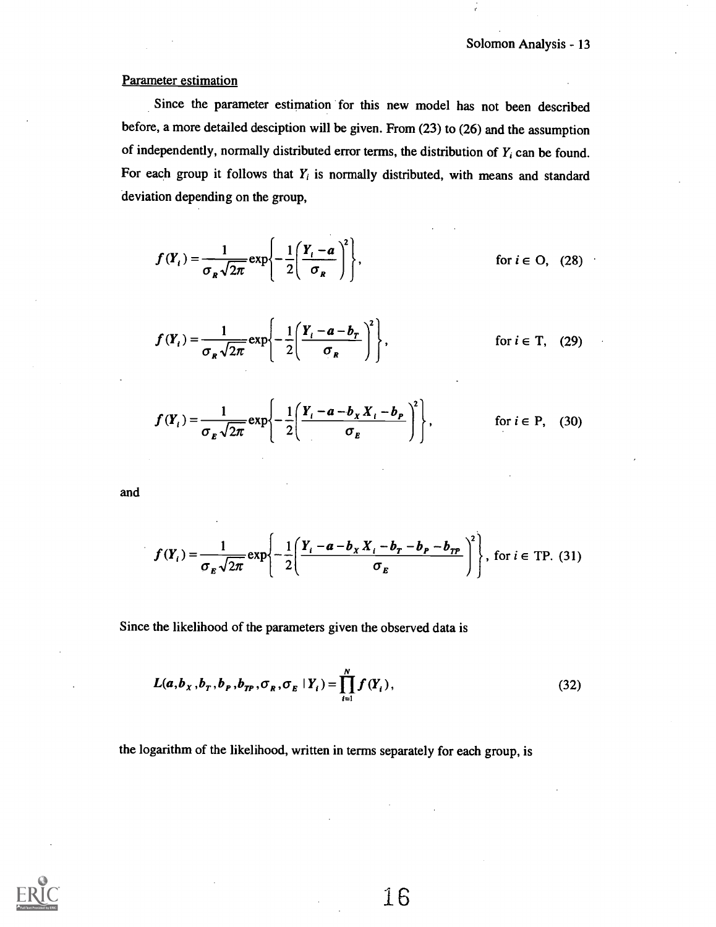#### Parameter estimation

Since the parameter estimation for this new model has not been described before, a more detailed desciption will be given. From (23) to (26) and the assumption of independently, normally distributed error terms, the distribution of  $Y_i$  can be found. For each group it follows that  $Y_i$  is normally distributed, with means and standard deviation depending on the group,

$$
f(Y_i) = \frac{1}{\sigma_R \sqrt{2\pi}} \exp\left\{-\frac{1}{2} \left(\frac{Y_i - a}{\sigma_R}\right)^2\right\},
$$
 for  $i \in \mathcal{O}$ , (28)

$$
f(Y_i) = \frac{1}{\sigma_R \sqrt{2\pi}} \exp\left\{-\frac{1}{2} \left(\frac{Y_i - a - b_r}{\sigma_R}\right)^2\right\},
$$
 for  $i \in T$ , (29)

$$
f(Y_i) = \frac{1}{\sigma_E \sqrt{2\pi}} \exp\left\{-\frac{1}{2} \left( \frac{Y_i - a - b_X X_i - b_P}{\sigma_E} \right)^2 \right\},
$$
 for  $i \in P$ , (30)

and

$$
f(Y_i) = \frac{1}{\sigma_E \sqrt{2\pi}} \exp\left\{-\frac{1}{2} \left(\frac{Y_i - a - b_X X_i - b_T - b_{TP}}{\sigma_E}\right)^2\right\}, \text{ for } i \in \text{TP. (31)}
$$

Since the likelihood of the parameters given the observed data is

$$
L(a, bX, bT, bP, bTP, \sigmaR, \sigmaE | Yi) = \prod_{i=1}^{N} f(Yi),
$$
\n(32)

the logarithm of the likelihood, written in terms separately for each group, is

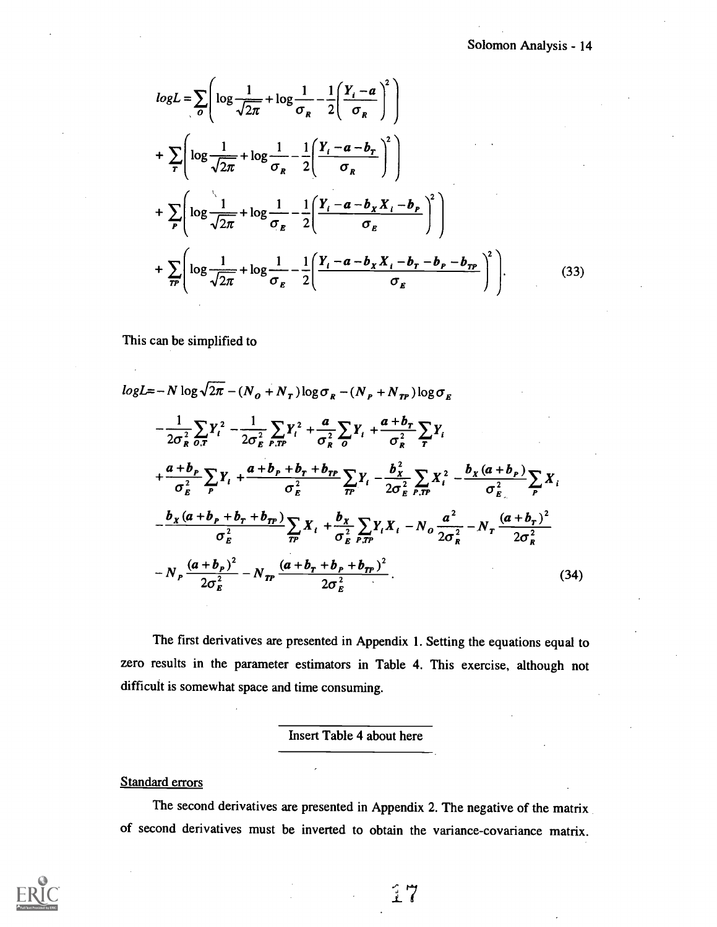$$
logL = \sum_{o} \left( log \frac{1}{\sqrt{2\pi}} + log \frac{1}{\sigma_R} - \frac{1}{2} \left( \frac{Y_i - a}{\sigma_R} \right)^2 \right)
$$
  
+ 
$$
\sum_{r} \left( log \frac{1}{\sqrt{2\pi}} + log \frac{1}{\sigma_R} - \frac{1}{2} \left( \frac{Y_i - a - b_r}{\sigma_R} \right)^2 \right)
$$
  
+ 
$$
\sum_{P} \left( log \frac{1}{\sqrt{2\pi}} + log \frac{1}{\sigma_R} - \frac{1}{2} \left( \frac{Y_i - a - b_x X_i - b_p}{\sigma_R} \right)^2 \right)
$$
  
+ 
$$
\sum_{r} \left( log \frac{1}{\sqrt{2\pi}} + log \frac{1}{\sigma_R} - \frac{1}{2} \left( \frac{Y_i - a - b_x X_i - b_r - b_p - b_{rr}}{\sigma_R} \right)^2 \right)
$$
(33)

This can be simplified to

$$
logL = -N log \sqrt{2\pi} - (N_o + N_r) log \sigma_R - (N_p + N_{TP}) log \sigma_E
$$
  
\n
$$
- \frac{1}{2\sigma_R^2} \sum_{O,T} Y_i^2 - \frac{1}{2\sigma_E^2} \sum_{P,TP} Y_i^2 + \frac{a}{\sigma_R^2} \sum_{O} Y_i + \frac{a+b_r}{\sigma_R^2} \sum_{T} Y_i
$$
  
\n
$$
+ \frac{a+b_p}{\sigma_E^2} \sum_{P} Y_i + \frac{a+b_p+b_r+b_{TP}}{\sigma_E^2} \sum_{TP} Y_i - \frac{b_x^2}{2\sigma_E^2} \sum_{P,TP} X_i^2 - \frac{b_x(a+b_p)}{\sigma_E^2} \sum_{P} X_i
$$
  
\n
$$
- \frac{b_x(a+b_p+b_r+b_{TP})}{\sigma_E^2} \sum_{TP} X_i + \frac{b_x}{\sigma_E^2} \sum_{P,TP} Y_i X_i - N_o \frac{a^2}{2\sigma_R^2} - N_r \frac{(a+b_r)^2}{2\sigma_R^2}
$$
  
\n
$$
- N_p \frac{(a+b_p)^2}{2\sigma_E^2} - N_{TP} \frac{(a+b_r+b_p+b_{TP})^2}{2\sigma_E^2}.
$$
 (34)

The first derivatives are presented in Appendix 1. Setting the equations equal to zero results in the parameter estimators in Table 4. This exercise, although not difficult is somewhat space and time consuming.

Insert Table 4 about here

#### **Standard errors**

The second derivatives are presented in Appendix 2. The negative of the matrix of second derivatives must be inverted to obtain the variance-covariance matrix.

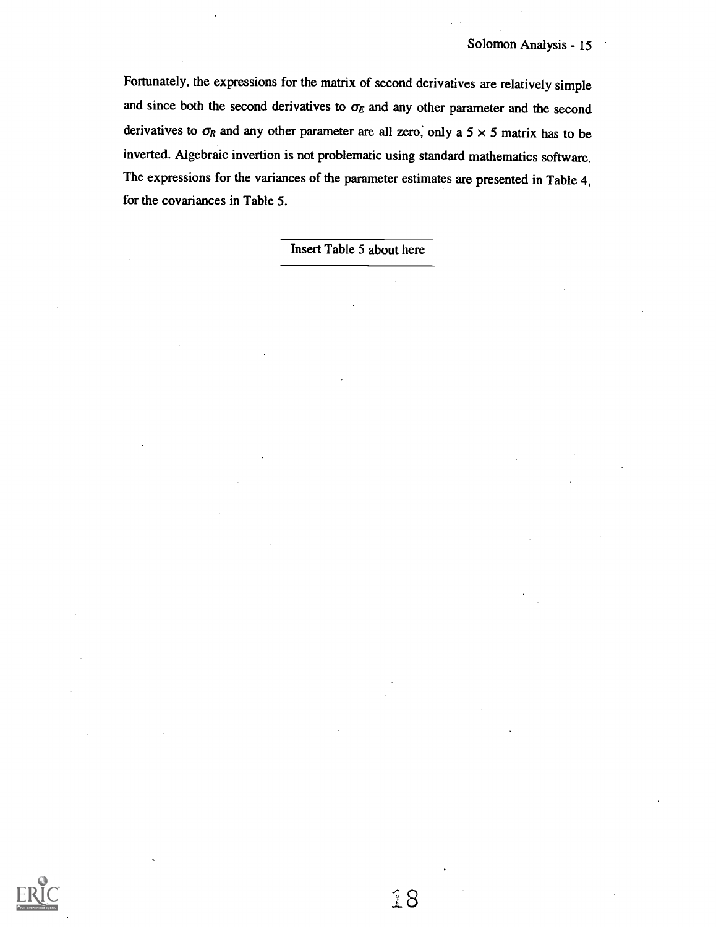Fortunately, the expressions for the matrix of second derivatives are relatively simple and since both the second derivatives to  $\sigma_E$  and any other parameter and the second derivatives to  $\sigma_R$  and any other parameter are all zero, only a 5  $\times$  5 matrix has to be inverted. Algebraic invertion is not problematic using standard mathematics software. The expressions for the variances of the parameter estimates are presented in Table 4, for the covariances in Table 5.

Insert Table 5 about here

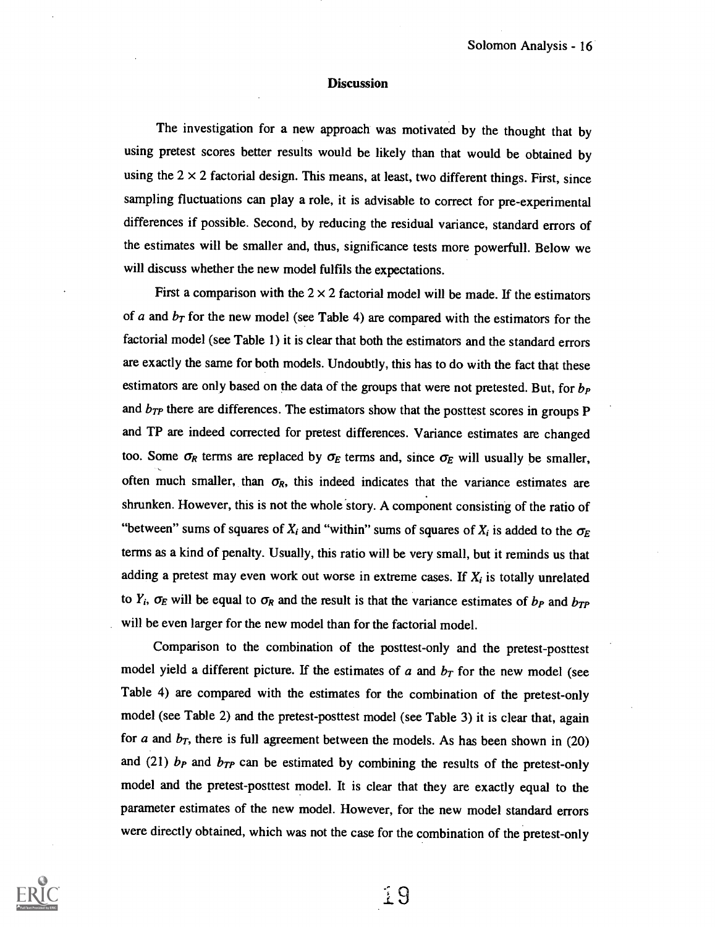#### **Discussion**

The investigation for a new approach was motivated by the thought that by using pretest scores better results would be likely than that would be obtained by using the  $2 \times 2$  factorial design. This means, at least, two different things. First, since sampling fluctuations can play a role, it is advisable to correct for pre-experimental differences if possible. Second, by reducing the residual variance, standard errors of the estimates will be smaller and, thus, significance tests more powerfull. Below we will discuss whether the new model fulfils the expectations.

First a comparison with the  $2 \times 2$  factorial model will be made. If the estimators of a and  $b_T$  for the new model (see Table 4) are compared with the estimators for the factorial model (see Table 1) it is clear that both the estimators and the standard errors are exactly the same for both models. Undoubtly, this has to do with the fact that these estimators are only based on the data of the groups that were not pretested. But, for  $b<sub>P</sub>$ and  $b_{TP}$  there are differences. The estimators show that the posttest scores in groups P and TP are indeed corrected for pretest differences. Variance estimates are changed too. Some  $\sigma_R$  terms are replaced by  $\sigma_E$  terms and, since  $\sigma_E$  will usually be smaller, often much smaller, than  $\sigma_R$ , this indeed indicates that the variance estimates are shrunken. However, this is not the whole story. A component consisting of the ratio of "between" sums of squares of  $X_i$  and "within" sums of squares of  $X_i$  is added to the  $\sigma_E$ terms as a kind of penalty. Usually, this ratio will be very small, but it reminds us that adding a pretest may even work out worse in extreme cases. If  $X_i$  is totally unrelated to  $Y_i$ ,  $\sigma_E$  will be equal to  $\sigma_R$  and the result is that the variance estimates of  $b_P$  and  $b_{TP}$ will be even larger for the new model than for the factorial model.

Comparison to the combination of the posttest-only and the pretest-posttest model yield a different picture. If the estimates of  $a$  and  $b<sub>T</sub>$  for the new model (see Table 4) are compared with the estimates for the combination of the pretest-only model (see Table 2) and the pretest-posttest model (see Table 3) it is clear that, again for a and  $b_T$ , there is full agreement between the models. As has been shown in (20) and (21)  $b<sub>P</sub>$  and  $b<sub>TP</sub>$  can be estimated by combining the results of the pretest-only model and the pretest-posttest model. It is clear that they are exactly equal to the parameter estimates of the new model. However, for the new model standard errors were directly obtained, which was not the case for the combination of the pretest-only

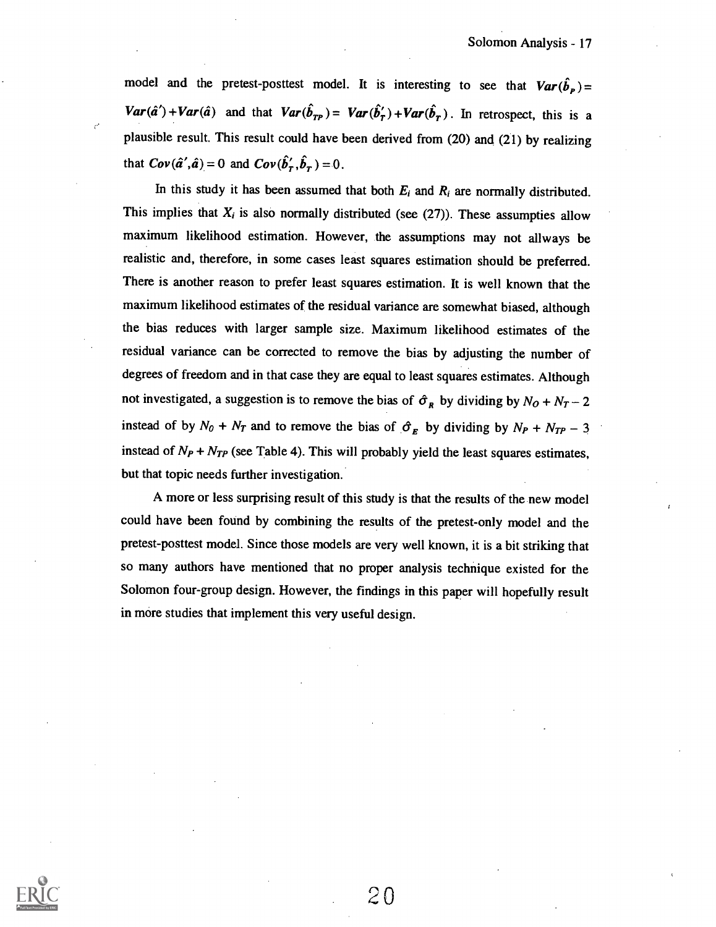model and the pretest-posttest model. It is interesting to see that  $Var(\hat{b}_p)$  =  $Var(\hat{a}') + Var(\hat{a})$  and that  $Var(\hat{b}_{TP}) = Var(\hat{b}'_T) + Var(\hat{b}_T)$ . In retrospect, this is a plausible result. This result could have been derived from (20) and (21) by realizing that  $Cov(\hat{a}', \hat{a}) = 0$  and  $Cov(\hat{b}'_r, \hat{b}_r) = 0$ .

In this study it has been assumed that both  $E_i$  and  $R_i$  are normally distributed. This implies that  $X_i$  is also normally distributed (see (27)). These assumpties allow maximum likelihood estimation. However, the assumptions may not allways be realistic and, therefore, in some cases least squares estimation should be preferred. There is another reason to prefer least squares estimation. It is well known that the maximum likelihood estimates of the residual variance are somewhat biased, although the bias reduces with larger sample size. Maximum likelihood estimates of the residual variance can be corrected to remove the bias by adjusting the number of degrees of freedom and in that case they are equal to least squares estimates. Although not investigated, a suggestion is to remove the bias of  $\hat{\sigma}_R$  by dividing by  $N_O + N_T - 2$ instead of by  $N_0 + N_T$  and to remove the bias of  $\hat{\sigma}_E$  by dividing by  $N_P + N_{TP} - 3$ instead of  $N_P + N_{TP}$  (see Table 4). This will probably yield the least squares estimates, but that topic needs further investigation.

A more or less surprising result of this study is that the results of the new model could have been found by combining the results of the pretest-only model and the pretest-posttest model. Since those models are very well known, it is a bit striking that so many authors have mentioned that no proper analysis technique existed for the Solomon four-group design. However, the findings in this paper will hopefully result in more studies that implement this very useful design.

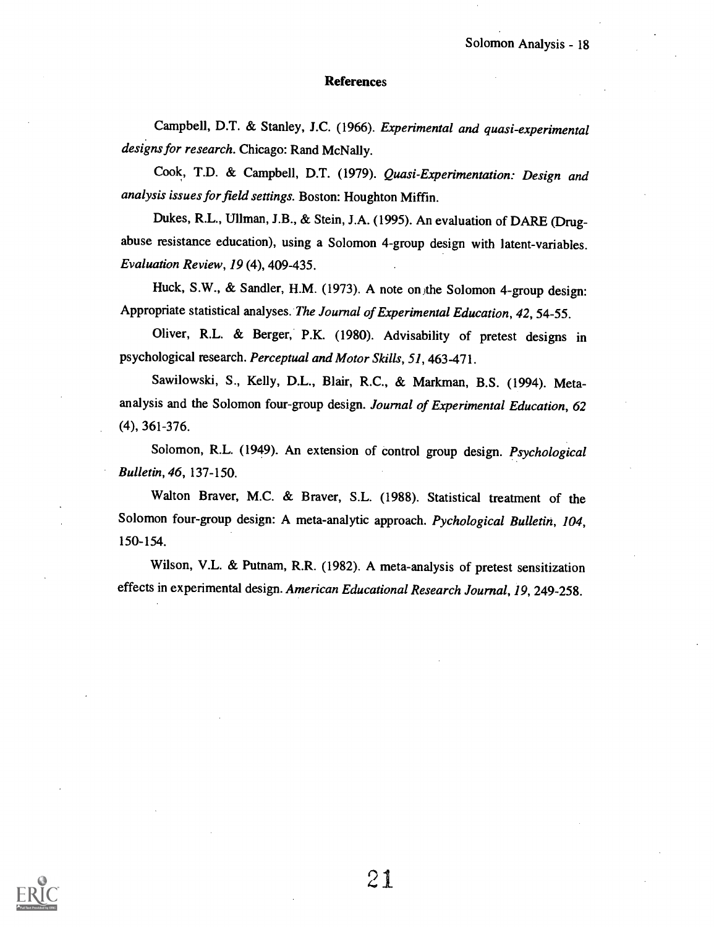#### References

Campbell, D.T. & Stanley, J.C. (1966). Experimental and quasi-experimental designs for research. Chicago: Rand McNally.

Cook, T.D. & Campbell, D.T. (1979). Quasi-Experimentation: Design and analysis issues for field settings. Boston: Houghton Miffin.

Dukes, R.L., Ullman, J.B., & Stein, J.A. (1995). An evaluation of DARE (Drugabuse resistance education), using a Solomon 4-group design with latent-variables. Evaluation Review, 19 (4), 409-435.

Huck, S.W., & Sandler, H.M. (1973). A note on the Solomon 4-group design: Appropriate statistical analyses. The Journal of Experimental Education, 42, 54-55.

Oliver, R.L. & Berger, P.K. (1980). Advisability of pretest designs in psychological research. Perceptual and Motor Skills, 51, 463-471.

Sawilowski, S., Kelly, D.L., Blair, R.C., & Markman, B.S. (1994). Metaanalysis and the Solomon four-group design. Journal of Experimental Education, 62 (4), 361-376.

Solomon, R.L. (1949). An extension of control group design. Psychological Bulletin, 46, 137-150.

Walton Braver, M.C. & Braver, S.L. (1988). Statistical treatment of the Solomon four-group design: A meta-analytic approach. Pychological Bulletin, 104, 150-154.

Wilson, V.L. & Putnam, R.R. (1982). A meta-analysis of pretest sensitization effects in experimental design. American Educational Research Journal, 19, 249-258.

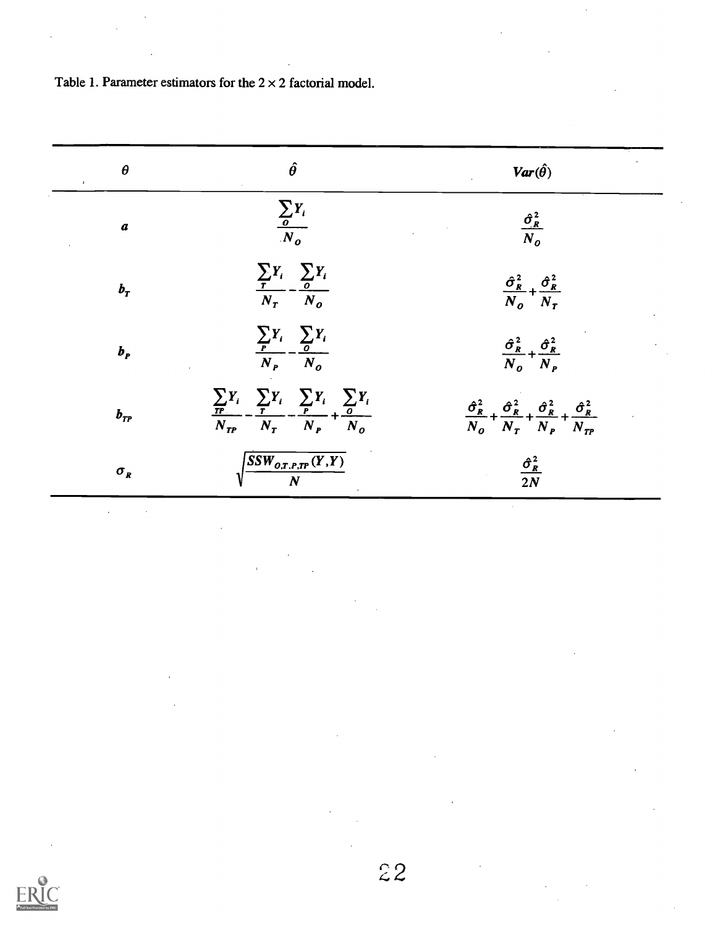| $\boldsymbol{\theta}$<br>$\mathcal{L}_{\mathcal{A}}$ | $\hat{\theta}$                                                                                                  | $Var(\hat{\theta})$                                                                                                            |
|------------------------------------------------------|-----------------------------------------------------------------------------------------------------------------|--------------------------------------------------------------------------------------------------------------------------------|
| $\pmb{a}$                                            | $\frac{\sum_{o} Y_i}{N_o}$                                                                                      | $\frac{\hat{\sigma}_R^2}{N_o}$                                                                                                 |
| $b_T$                                                | $\frac{\sum_{i} Y_i}{N_T} - \frac{\sum_{o} Y_i}{N_o}$                                                           | $\frac{\hat{\sigma}_R^2}{N_o} + \frac{\hat{\sigma}_R^2}{N_T}$                                                                  |
| $b_{p}$                                              | $\frac{\sum_{P} Y_i}{N_P} - \frac{\sum_{O} Y_i}{N_O}$                                                           | $\frac{\hat{\sigma}_R^2}{N_o} + \frac{\hat{\sigma}_R^2}{N_P}$                                                                  |
| $b_{\scriptscriptstyle TP}$                          | $\frac{\sum_{TP} Y_i}{N_{TP}} - \frac{\sum_{T} Y_i}{N_T} - \frac{\sum_{P} Y_i}{N_P} + \frac{\sum_{O} Y_i}{N_O}$ | $\frac{\hat{\sigma}_R^2}{N_o} + \frac{\hat{\sigma}_R^2}{N_T} + \frac{\hat{\sigma}_R^2}{N_P} + \frac{\hat{\sigma}_R^2}{N_{TP}}$ |
| $\sigma_R$                                           | $\frac{SSW_{O.T.P.TP}(Y,Y)}{N}$                                                                                 | $\frac{\hat{\sigma}_R^2}{2N}$                                                                                                  |

Table 1. Parameter estimators for the  $2 \times 2$  factorial model.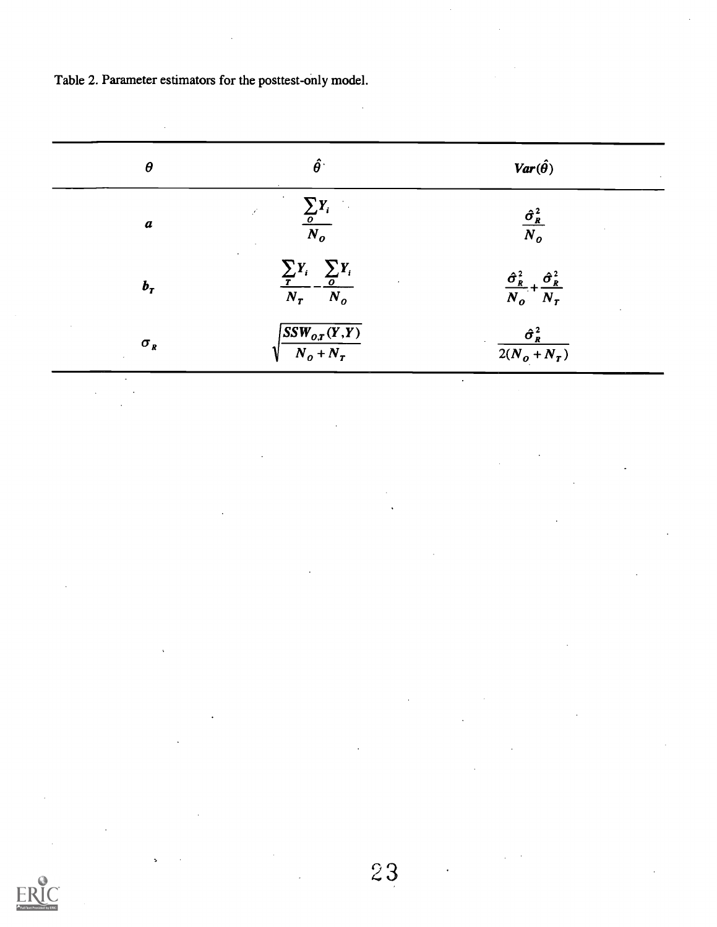Table 2. Parameter estimators for the posttest-only model.

| $\boldsymbol{\theta}$ | $\hat{\boldsymbol{\theta}}$                           | $Var(\hat{\theta})$                                           |
|-----------------------|-------------------------------------------------------|---------------------------------------------------------------|
| $\pmb{a}$             | $\frac{\sum_{o} Y_i}{N_o}$                            | $\frac{\hat{\sigma}_{R}^{2}}{N_{o}}$                          |
| $b_T$                 | $\frac{\sum_{T} Y_i}{N_T} - \frac{\sum_{O} Y_i}{N_O}$ | $\frac{\hat{\sigma}_R^2}{N_o} + \frac{\hat{\sigma}_R^2}{N_T}$ |
| $\sigma_{R}$          | $\frac{SSW_{o,T}(Y,Y)}{N_o+N_T}$                      | $\hat{\sigma}_R^2$<br>$2(N_o + N_T)$                          |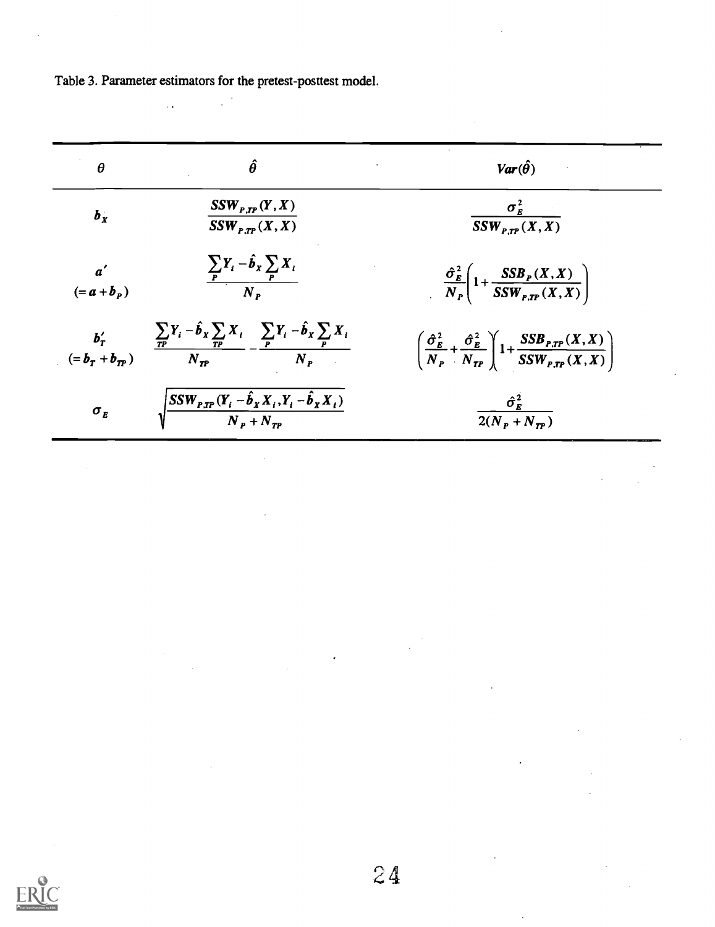Table 3. Parameter estimators for the pretest-posttest model.

 $\ddot{\phantom{a}}$ 

| $\theta$                        | $\hat{\theta}$                                                                                                                  | $Var(\hat{\theta})$                                                                                                                                               |
|---------------------------------|---------------------------------------------------------------------------------------------------------------------------------|-------------------------------------------------------------------------------------------------------------------------------------------------------------------|
| $b_x$                           | $SSW_{P,TP}(Y, X)$<br>$SSW_{P,TP}(X, X)$                                                                                        | $\sigma_E^2$<br>$SSW_{P,TP}(X, X)$                                                                                                                                |
| $a^{\prime}$<br>$(=a+bp)$       | $\frac{\sum_{P} Y_i - \hat{b}_x \sum_{P} X_i}{N_P}$                                                                             | $\frac{\hat{\sigma}_{\scriptscriptstyle E}^2}{N_{\scriptscriptstyle P}}\left(1+\frac{SSB_{\scriptscriptstyle P}(X,X)}{SSW_{\scriptscriptstyle P,TP}(X,X)}\right)$ |
|                                 | $\frac{b'_T}{(=b_T+b_{TP})}$ $\frac{\sum_{TP}Y_i-\hat{b}_x\sum_{TP}X_i}{N_{TP}}-\frac{\sum_{P}Y_i-\hat{b}_x\sum_{P}X_i}{N_{P}}$ | $\left(\frac{\hat{\sigma}_{E}^{2}}{N_{P}}+\frac{\hat{\sigma}_{E}^{2}}{N_{TP}}\right)1+\frac{SSB_{P,TP}(X,X)}{SSW_{P,TP}(X,X)}$                                    |
| $\sigma_{\scriptscriptstyle E}$ | $\sqrt{\frac{SSW_{P,TP}(Y_i-\hat{b}_X X_i, Y_i-\hat{b}_X X_i)}{N_P+N_{TP}}}$                                                    | $\frac{\hat{\sigma}_{E}^{2}}{2}$<br>$2(N_{P} + N_{TP})$                                                                                                           |

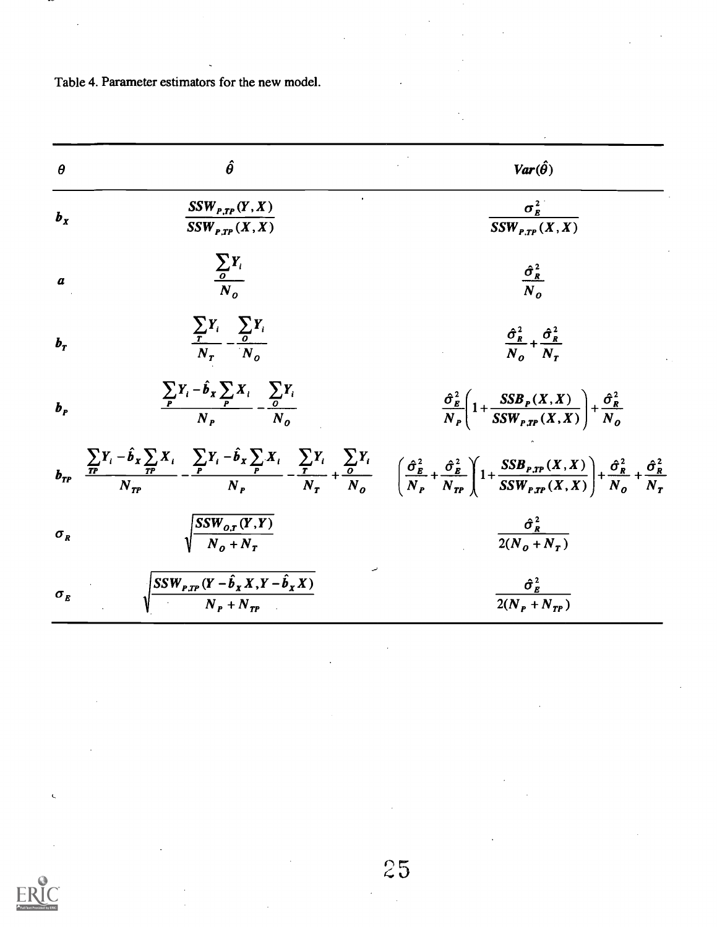Table 4. Parameter estimators for the new model.

| $\theta$                        | $\hat{\theta}$                                                                                                                                                                                                                                                                                                                                                                | $Var(\hat{\theta})$                                                                                                                                                                                                                                                       |
|---------------------------------|-------------------------------------------------------------------------------------------------------------------------------------------------------------------------------------------------------------------------------------------------------------------------------------------------------------------------------------------------------------------------------|---------------------------------------------------------------------------------------------------------------------------------------------------------------------------------------------------------------------------------------------------------------------------|
| $b_x$                           | $SSW_{P,TP}(Y, X)$<br>$SSW_{P,TP}(X,X)$                                                                                                                                                                                                                                                                                                                                       | $\sigma_E^2$<br>$\overline{SSW_{P,TP}(X,X)}$                                                                                                                                                                                                                              |
| $\boldsymbol{a}$                | $\frac{\sum_i Y_i}{\sum_i}$                                                                                                                                                                                                                                                                                                                                                   | $\frac{\hat{\sigma}_R^2}{N_o}$                                                                                                                                                                                                                                            |
| $\bm{b}_{\bm{T}}$               | $\frac{\sum_i Y_i}{N_{\tau}} - \frac{\sum_i Y_i}{N_{\tau}}$                                                                                                                                                                                                                                                                                                                   | $\frac{\hat{\sigma}_R^2}{N} + \frac{\hat{\sigma}_R^2}{N}$                                                                                                                                                                                                                 |
| $b_{p}$                         | $\frac{\sum_i Y_i - \hat{b}_x \sum_i X_i}{N} - \frac{\sum_i Y_i}{N}$                                                                                                                                                                                                                                                                                                          | $\frac{\hat{\sigma}_{\scriptscriptstyle{E}}^2}{N_{\scriptscriptstyle{P}}} \left(1 + \frac{SSB_{\scriptscriptstyle{P}}(X,X)}{SSW_{\scriptscriptstyle{P}}r_{\scriptscriptstyle{P}}(X,X)}\right) + \frac{\hat{\sigma}_{\scriptscriptstyle{R}}^2}{N_{\scriptscriptstyle{Q}}}$ |
|                                 | $b_{TP}$<br>$\frac{\sum F_i - \hat{b}_x \sum F_i}{N_m} - \frac{\sum F_i - \hat{b}_x \sum F_i}{N_n} - \frac{\sum F_i}{N_n} + \frac{\sum F_i}{N_o} + \frac{\sum F_i}{N_o} + \left(\frac{\hat{\sigma}_E^2}{N_P} + \frac{\hat{\sigma}_E^2}{N_{TP}}\right) \left(1 + \frac{SSB_{P,TP}(X,X)}{SSW_{P,TP}(X,X)}\right) + \frac{\hat{\sigma}_R^2}{N_o} + \frac{\hat{\sigma}_R^2}{N_T}$ |                                                                                                                                                                                                                                                                           |
| $\sigma_{R}$                    | $\sqrt{\frac{SSW_{o,r}(Y,Y)}{N_o+N_{\tau}}}$                                                                                                                                                                                                                                                                                                                                  | $\frac{\hat{\sigma}_R^2}{2(N_0 + N_\tau)}$                                                                                                                                                                                                                                |
| $\sigma_{\scriptscriptstyle E}$ | $\sqrt{\frac{SSW_{P,TP} (Y - \hat{b}_X X, Y - \hat{b}_X X)}{N_P + N_{\tau_P}}}$                                                                                                                                                                                                                                                                                               | $\frac{\hat{\sigma}_{E}^{2}}{2(N_{P}+N_{TP})}$                                                                                                                                                                                                                            |

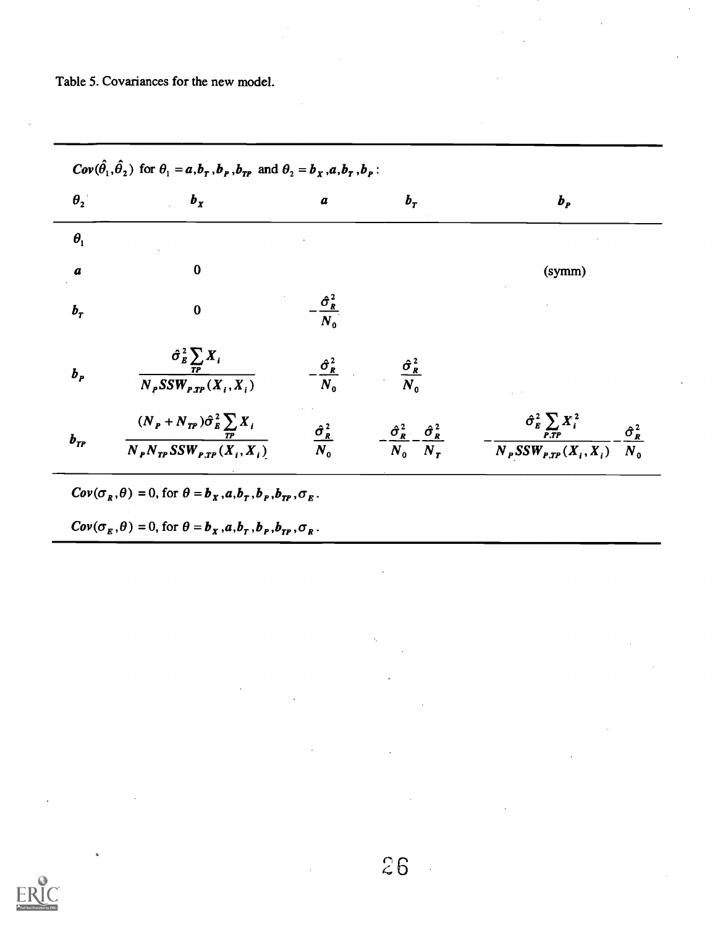Table 5. Covariances for the new model.

$$
Cov(\hat{\theta}_1, \hat{\theta}_2) \text{ for } \theta_1 = a, b_r, b_p, b_{rp} \text{ and } \theta_2 = b_x, a, b_r, b_p:
$$
\n
$$
\theta_2 \qquad b_x \qquad a \qquad b_r \qquad b_p
$$
\n
$$
\theta_1
$$
\n
$$
a \qquad 0 \qquad (symm)
$$
\n
$$
b_r \qquad 0 \qquad -\frac{\hat{\sigma}_k^2}{N_o}
$$
\n
$$
b_p \qquad \frac{\hat{\sigma}_k^2 \sum_{rp} X_i}{N_p SSW_{r,rp}(X_i, X_i)} \qquad -\frac{\hat{\sigma}_k^2}{N_o} \qquad \frac{\hat{\sigma}_k^2}{N_o}
$$
\n
$$
b_{rp} \qquad \frac{(N_p + N_{rp})\hat{\sigma}_k^2 \sum_{rp} X_i}{N_p N_{rp} SSW_{r,rp}(X_i, X_i)} \qquad \frac{\hat{\sigma}_k^2}{N_o} \qquad -\frac{\hat{\sigma}_k^2}{N_o} -\frac{\hat{\sigma}_k^2}{N_p SSW_{r,rp}(X_i, X_i)} -\frac{\hat{\sigma}_k^2}{N_o}
$$
\n
$$
Cov(\sigma_R, \theta) = 0, \text{ for } \theta = b_x, a, b_r, b_p, b_{rp}, \sigma_E.
$$

$$
Cov(\sigma_R, \theta) = 0, \text{ for } \theta = b_X, a, b_T, b_P, b_{TP}, \sigma_E.
$$

 $Cov(\sigma_{\scriptscriptstyle E},\theta)=0,$  for  $\theta=b_x^{},a,b_\tau^{},b_p^{},b_{\tau p}^{},\sigma_{\scriptscriptstyle R}^{}$ .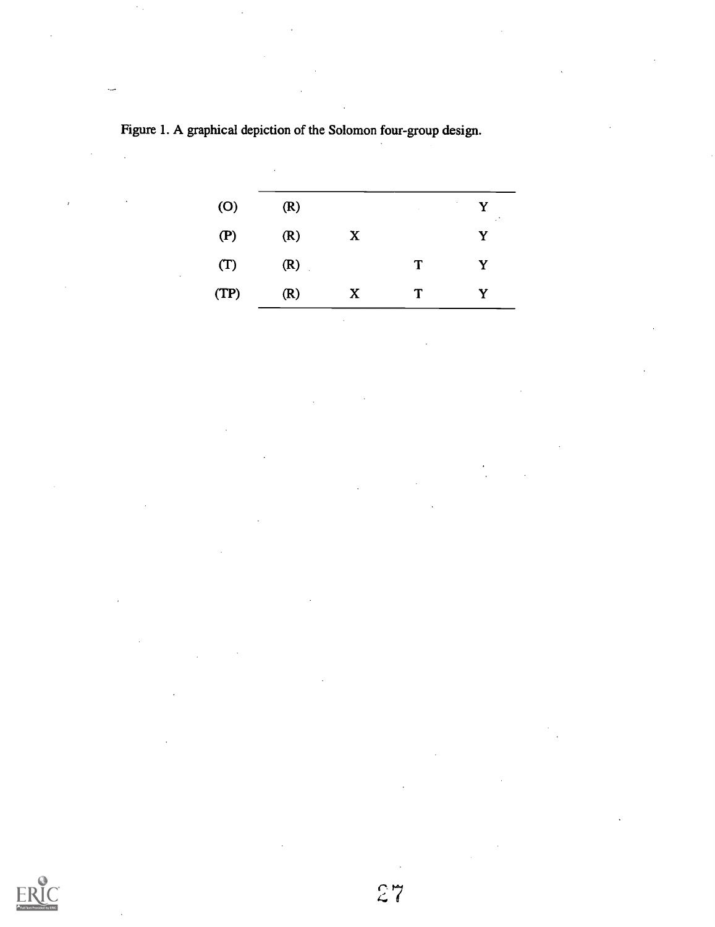| (O)  | (R) |              | <b>Contract</b> | $\sim$<br>Y<br>$\cdot$ . |
|------|-----|--------------|-----------------|--------------------------|
| (P)  | (R) | $\mathbf{X}$ |                 | Y                        |
| (T)  | (R) |              | T               | Y                        |
| (TP) | (R) | $\mathbf{X}$ | T               | Y                        |

 $\mathcal{L}_{\mathcal{A}}$ 

Figure 1. A graphical depiction of the Solomon four-group design.

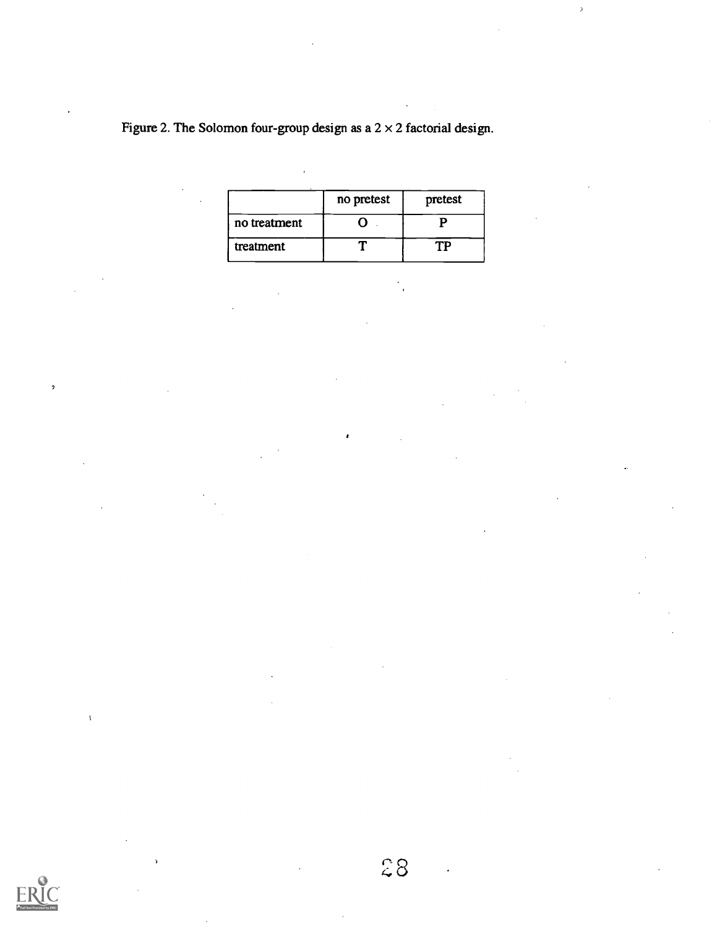Figure 2. The Solomon four-group design as a  $2 \times 2$  factorial design.

|              | no pretest | pretest |
|--------------|------------|---------|
| no treatment |            |         |
| treatment    |            |         |

 $\overline{a}$ 



 $\overline{2}$ 

 $\mathcal{Z}8$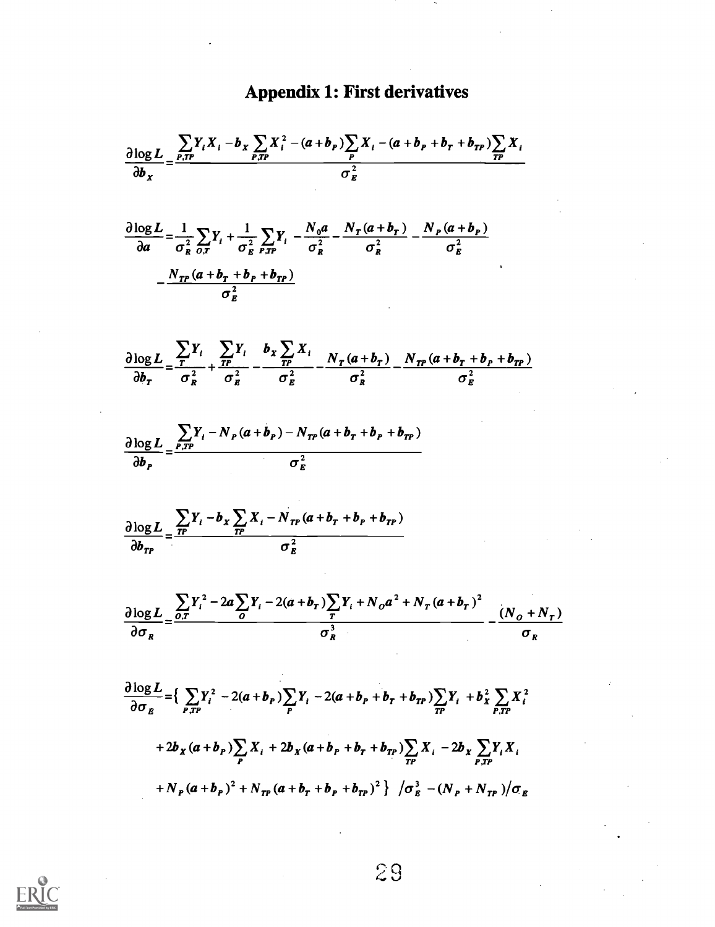## Appendix 1: First derivatives

$$
\frac{\partial \log L}{\partial b_x} = \frac{\sum_{r, r} Y_i X_i - b_x \sum_{r, r} X_i^2 - (a + b_r) \sum_{r} X_i - (a + b_r + b_r + b_{rr}) \sum_{r} X_i}{\sigma_E^2}
$$
\n
$$
\frac{\partial \log L}{\partial a} = \frac{1}{\sigma_R^2} \sum_{r, r} Y_i + \frac{1}{\sigma_R^2} \sum_{r, r} Y_i - \frac{N_0 a}{\sigma_R^2} - \frac{N_r (a + b_r)}{\sigma_R^2} - \frac{N_r (a + b_r)}{\sigma_R^2}
$$
\n
$$
- \frac{N_{rr} (a + b_r + b_r + b_{rr})}{\sigma_E^2}
$$
\n
$$
\frac{\partial \log L}{\partial b_r} = \frac{\sum_{r} Y_i}{\sigma_R^2} + \frac{\sum_{r} Y_i}{\sigma_R^2} - \frac{b_x \sum_{r} X_i}{\sigma_R^2} - \frac{N_r (a + b_r)}{\sigma_R^2} - \frac{N_{rr} (a + b_r + b_r + b_{rr})}{\sigma_R^2}
$$
\n
$$
\frac{\partial \log L}{\partial b_r} = \frac{\sum_{r, r} Y_i - N_r (a + b_r) - N_{rr} (a + b_r + b_r + b_{rr})}{\sigma_E^2}
$$
\n
$$
\frac{\partial \log L}{\partial b_r} = \frac{\sum_{r, r} Y_i - b_x \sum_{r} X_i - N_{rr} (a + b_r + b_r + b_{rr})}{\sigma_E^2}
$$
\n
$$
\frac{\partial \log L}{\partial \sigma_R} = \frac{\sum_{r, r} Y_i^2 - 2a \sum_{r} Y_i - 2(a + b_r) \sum_{r} Y_i + N_0 a^2 + N_r (a + b_r)^2}{\sigma_R^2} - \frac{(N_0 + N_r)}{\sigma_R}
$$
\n
$$
+ 2b_x (a + b_r) \sum_{r} X_i + 2b_x (a + b_r + b_r + b_{rr}) \sum_{r} Y_i + b_x^2 \sum_{r, r} X_i^2 + 2b_x (a + b_r) \sum_{r} Y_i + 2b_x (a + b_r) \sum_{r} Y_i - 2(a + b_r + b_{rr}) \sum_{r} Y_i - 2b_x \sum_{r, r} Y_i X_i + N_r (a + b_r) \sum_{r} Y_i + N_r (a + b_r) \sum_{r} Y
$$

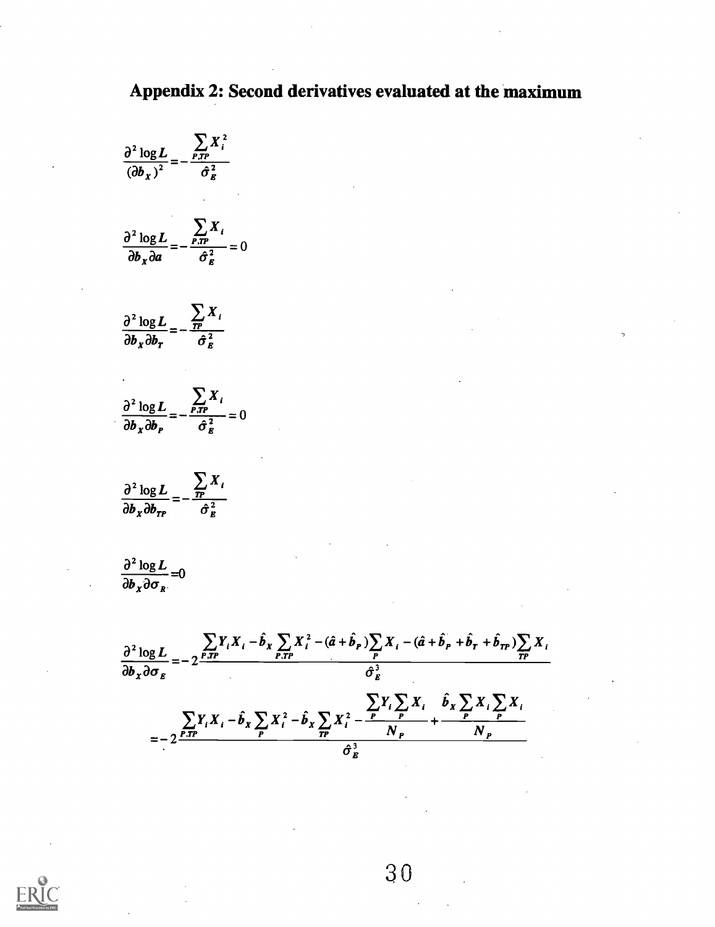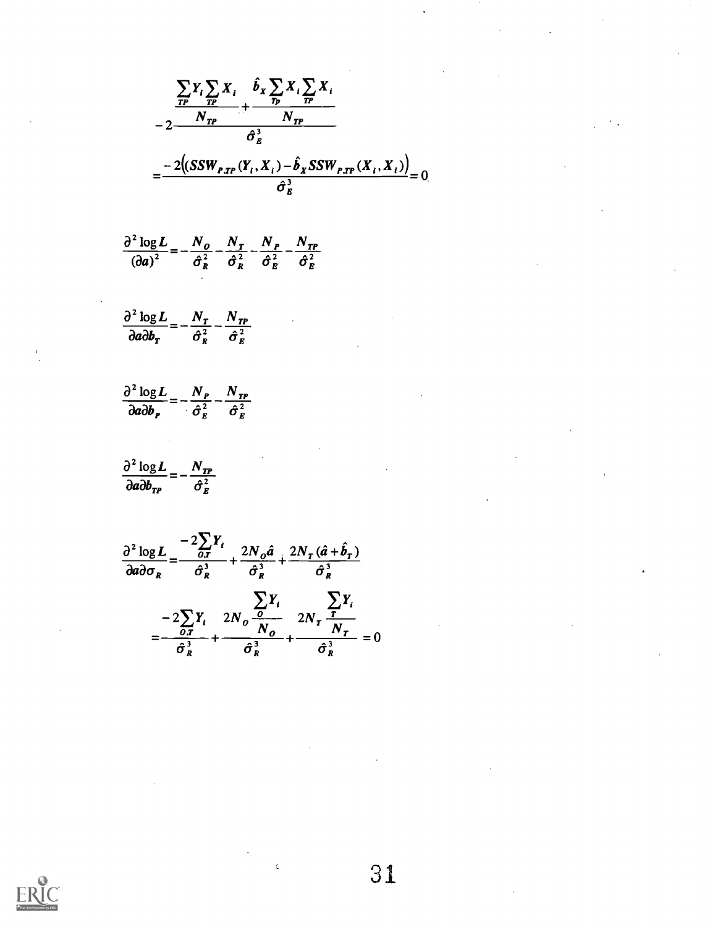$$
\frac{\sum_{TP} Y_i \sum_{TP} X_i}{N_{TP}} + \frac{\hat{b}_x \sum_{TP} X_i \sum_{TP} X_i}{N_{TP}}
$$
  
= 
$$
\frac{-2((SSW_{P,TP}(Y_i, X_i) - \hat{b}_x SSW_{P,TP}(X_i, X_i))}{\hat{\sigma}_x^3} = 0
$$

$$
\frac{\partial^2 \log L}{\left(\partial a\right)^2} = -\frac{N_o}{\hat{\sigma}_R^2} - \frac{N_T}{\hat{\sigma}_R^2} - \frac{N_P}{\hat{\sigma}_R^2} - \frac{N_{TP}}{\hat{\sigma}_R^2}
$$

$$
\frac{\partial^2 \log L}{\partial a \partial b_T} = -\frac{N_T}{\hat{\sigma}_R^2} - \frac{N_{TP}}{\hat{\sigma}_R^2}
$$

$$
\frac{\partial^2 \log L}{\partial a \partial b_P} = -\frac{N_P}{\hat{\sigma}_E^2} - \frac{N_{TP}}{\hat{\sigma}_E^2}
$$

$$
\frac{\partial^2 \log L}{\partial a \partial b_{TP}} = -\frac{N_{TP}}{\hat{\sigma}_E^2}
$$

$$
\frac{\partial^2 \log L}{\partial a \partial \sigma_R} = \frac{-2\sum_{O,T} Y_i}{\hat{\sigma}_R^3} + \frac{2N_O\hat{a}}{\hat{\sigma}_R^3} + \frac{2N_T(\hat{a} + \hat{b}_T)}{\hat{\sigma}_R^3}
$$

$$
= -2\sum_{O,T} Y_i \frac{2N_O}{N_O} \frac{\sum_{O,T} Y_i}{N_O} + \frac{\sum_{O,T} Y_i}{N_T}} = \frac{-2\sum_{O,T} Y_i}{\hat{\sigma}_R^3} + \frac{\hat{\sigma}_R^3}{\hat{\sigma}_R^3} = 0
$$

 $\bar{\mathbf{c}}$ 

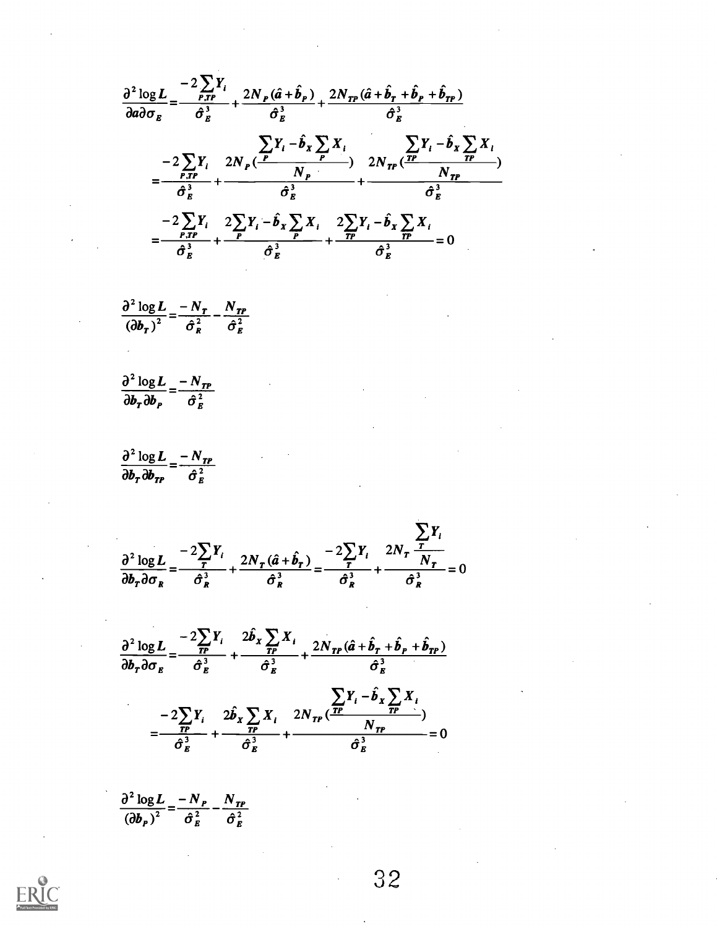$\frac{\partial^2 \log L}{\partial a \partial \sigma_-} = \frac{-2 \sum_{P,IP} Y_i}{\hat{\sigma}_-^2} + \frac{2 N_P (\hat{a} + \hat{b}_P)}{\hat{\sigma}_+^2} + \frac{2 N_{IP} (\hat{a} + \hat{b}_P + \hat{b}_P + \hat{b}_{IP})}{\hat{\sigma}_+^2}$  $= \frac{-2\sum_{P,T}Y_i}{\hat{\sigma}_s^2} + \frac{2N_P(\frac{P}{P}Y_i - \hat{b}_x\sum_{P}X_i)}{\hat{\sigma}_s^3} + \frac{2N_P(\frac{P}{P}Y_i - \hat{b}_x\sum_{P}X_i}{\hat{\sigma}_s^3})}$  $=\frac{-2\sum_{P,T}Y_i}{\hat{\sigma}_E^3}+\frac{2\sum_{P}Y_i-\hat{b}_x\sum_{P}X_i}{\hat{\sigma}_E^3}+\frac{2\sum_{P}Y_i-\hat{b}_x\sum_{P}X_i}{\hat{\sigma}_E^3}=0$ 

- $\frac{\partial^2 \log L}{\left(\partial b_r\right)^2} = \frac{-N_T}{\hat{\sigma}_p^2} \frac{N_{TP}}{\hat{\sigma}_p^2}$
- $\frac{\partial^2 \log L}{\partial b_r \partial b_r} = \frac{-N_{TP}}{\hat{\sigma}^2}$
- $\frac{\partial^2 \log L}{\partial b_r \partial b_{rp}} = \frac{-N_{TP}}{\hat{\sigma}_r^2}$

$$
\frac{\partial^2 \log L}{\partial b_r \partial \sigma_R} = \frac{-2\sum_{r} Y_i}{\hat{\sigma}_R^3} + \frac{2N_r(\hat{a} + \hat{b}_r)}{\hat{\sigma}_R^3} = \frac{-2\sum_{r} Y_i}{\hat{\sigma}_R^3} + \frac{2N_r \frac{\sum_{r} Y_i}{N_r}}{\hat{\sigma}_R^3} = 0
$$

$$
\frac{\partial^2 \log L}{\partial b_r \partial \sigma_E} = \frac{-2\sum_{TP} Y_i}{\hat{\sigma}_E^3} + \frac{2\hat{b}_x \sum_{TP} X_i}{\hat{\sigma}_E^3} + \frac{2N_{TP}(\hat{a} + \hat{b}_r + \hat{b}_r + \hat{b}_{rp})}{\hat{\sigma}_E^3}
$$

$$
= \frac{-2\sum_{TP} Y_i}{\hat{\sigma}_E^3} + \frac{2\hat{b}_x \sum_{TP} X_i}{\hat{\sigma}_E^3} + \frac{2N_{TP}(\frac{TP}{T})}{\hat{\sigma}_E^3} = 0
$$

$$
\frac{\partial^2 \log L}{\left(\partial b_P\right)^2} = \frac{-N_P}{\hat{\sigma}_E^2} - \frac{N_{TP}}{\hat{\sigma}_E^2}
$$

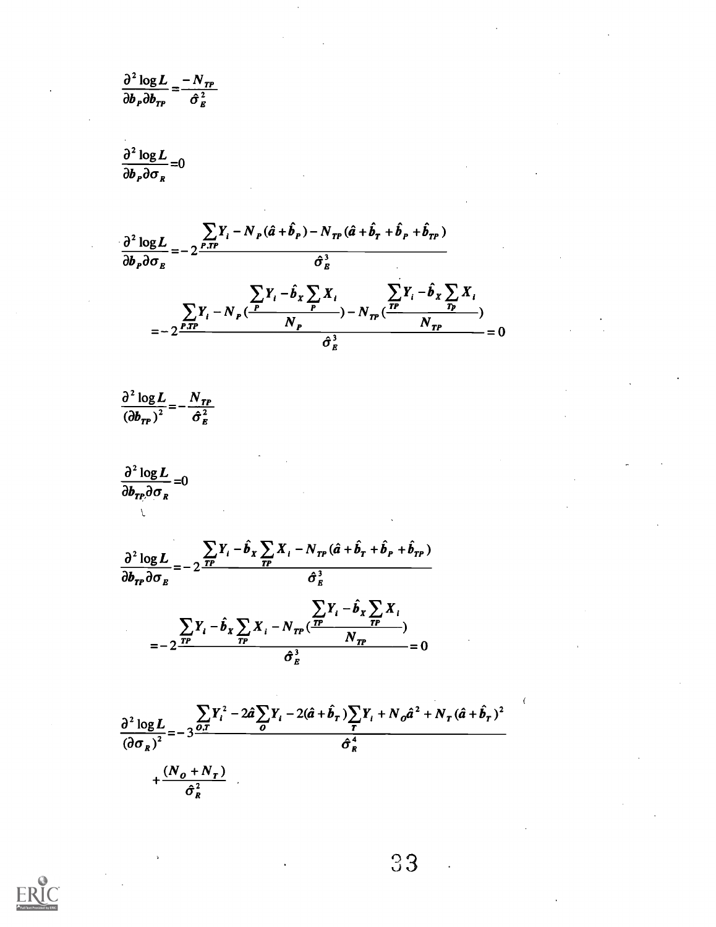$$
\frac{\partial^2 \log L}{\partial b_p \partial b_{rp}} = \frac{-N_{rp}}{\hat{\sigma}_R^2}
$$

$$
\frac{\partial^2 \log L}{\partial b_p \partial \sigma_p} = 0
$$



$$
\frac{\partial^2 \log L}{\left(\partial b_{TP}\right)^2} = -\frac{N_{TP}}{\hat{\sigma}_E^2}
$$

 $\frac{\partial^2 \log L}{\partial b_{TP} \partial \sigma_R} = 0$ 



$$
\frac{\partial^2 \log L}{\left(\partial \sigma_R\right)^2} = -3 \frac{\sum_{j} Y_i^2 - 2 \hat{a} \sum_{j} Y_i - 2(\hat{a} + \hat{b}_T) \sum_{j} Y_i + N_o \hat{a}^2 + N_T (\hat{a} + \hat{b}_T)^2}{\hat{\sigma}_R^4} + \frac{(N_o + N_T)}{\hat{\sigma}_R^2}
$$



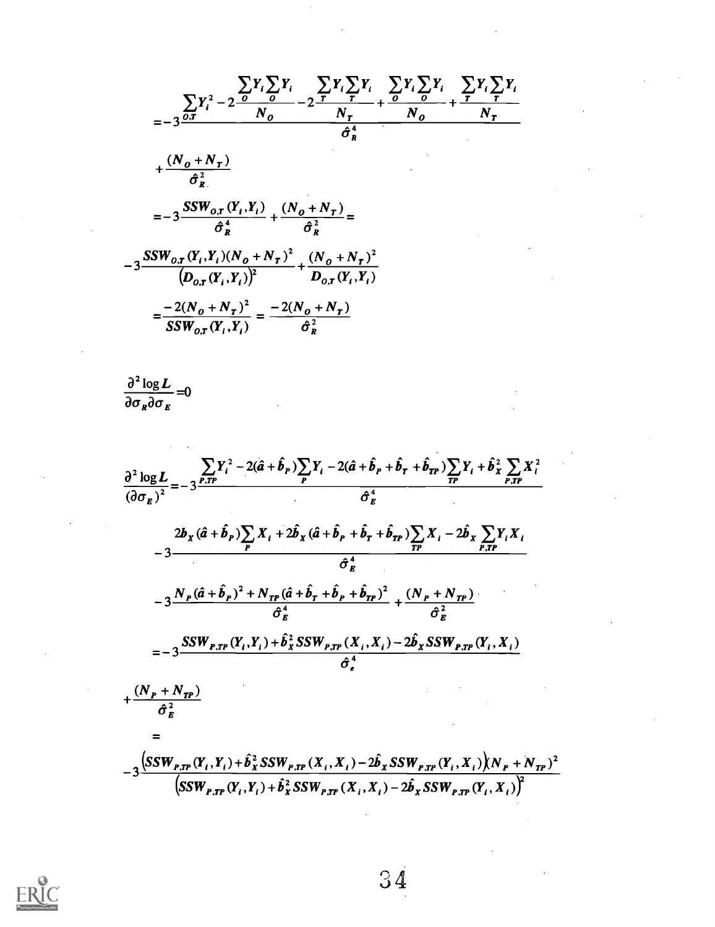$$
\sum_{i=1}^{n} Y_i^2 - 2 \frac{\sum_{i=1}^{n} Y_i \sum_{i=1}^{n} Y_i \sum_{i=1}^{n} Y_i \sum_{i=1}^{n} Y_i \sum_{i=1}^{n} Y_i \sum_{i=1}^{n} Y_i \sum_{i=1}^{n} Y_i \sum_{i=1}^{n} Y_i \sum_{i=1}^{n} Y_i \sum_{i=1}^{n} Y_i \sum_{i=1}^{n} Y_i \sum_{i=1}^{n} Y_i \sum_{i=1}^{n} Y_i \sum_{i=1}^{n} Y_i \sum_{i=1}^{n} Y_i \sum_{i=1}^{n} Y_i \sum_{i=1}^{n} Y_i \sum_{i=1}^{n} Y_i \sum_{i=1}^{n} Y_i \sum_{i=1}^{n} Y_i \sum_{i=1}^{n} Y_i \sum_{i=1}^{n} Y_i \sum_{i=1}^{n} Y_i \sum_{i=1}^{n} Y_i \sum_{i=1}^{n} Y_i \sum_{i=1}^{n} Y_i \sum_{i=1}^{n} Y_i \sum_{i=1}^{n} Y_i \sum_{i=1}^{n} Y_i \sum_{i=1}^{n} Y_i \sum_{i=1}^{n} Y_i \sum_{i=1}^{n} Y_i \sum_{i=1}^{n} Y_i \sum_{i=1}^{n} Y_i \sum_{i=1}^{n} Y_i \sum_{i=1}^{n} Y_i \sum_{i=1}^{n} Y_i \sum_{i=1}^{n} Y_i \sum_{i=1}^{n} Y_i \sum_{i=1}^{n} Y_i \sum_{i=1}^{n} Y_i \sum_{i=1}^{n} Y_i \sum_{i=1}^{n} Y_i \sum_{i=1}^{n} Y_i \sum_{i=1}^{n} Y_i \sum_{i=1}^{n} Y_i \sum_{i=1}^{n} Y_i \sum_{i=1}^{n} Y_i \sum_{i=1}^{n} Y_i \sum_{i=1}^{n} Y_i \sum_{i=1}^{n} Y_i \sum_{i=1}^{n} Y_i \sum_{i=1}^{n} Y_i \sum_{i=1}^{n} Y_i \sum_{i=1}^{n} Y_i \sum_{i=1}^{n} Y_i \sum_{i=1}^{n} Y_i \sum_{i=1}^{n} Y_i \sum_{i=1}^{n} Y_i \sum_{i=1}^{n} Y_i \sum_{i=1}^{n} Y_i \sum_{i=1}^{n
$$

$$
\frac{\partial^2 \log L}{\partial \sigma_R \partial \sigma_E} = 0
$$

$$
\frac{\partial^{2} \log L}{\partial \sigma_{g}} = -3 \frac{\sum_{r,TP} Y_{i}^{2} - 2(\hat{a} + \hat{b}_{P}) \sum_{P} Y_{i} - 2(\hat{a} + \hat{b}_{P} + \hat{b}_{P} + \hat{b}_{PP}) \sum_{P} Y_{i} + \hat{b}_{X}^{2} \sum_{P,TP} X_{i}^{2}}{(\hat{\sigma}_{g}^{4})}
$$
\n
$$
= 3 \frac{2b_{X}(\hat{a} + \hat{b}_{P}) \sum_{P} X_{i} + 2\hat{b}_{X}(\hat{a} + \hat{b}_{P} + \hat{b}_{P} + \hat{b}_{PP}) \sum_{IP} X_{i} - 2\hat{b}_{X} \sum_{P,TP} Y_{i} X_{i}}{-3}
$$
\n
$$
= 3 \frac{N_{P}(\hat{a} + \hat{b}_{P})^{2} + N_{TP}(\hat{a} + \hat{b}_{P} + \hat{b}_{P} + \hat{b}_{PP})^{2}}{\hat{\sigma}_{g}^{4}} + \frac{(N_{P} + N_{TP})}{\hat{\sigma}_{g}^{2}}
$$
\n
$$
= -3 \frac{SSW_{P,TP}(Y_{i}, Y_{i}) + \hat{b}_{X}^{2} SSW_{P,TP}(X_{i}, X_{i}) - 2\hat{b}_{X} SSW_{P,TP}(Y_{i}, X_{i})}{\hat{\sigma}_{e}^{4}}
$$
\n
$$
+ \frac{(N_{P} + N_{TP})}{\hat{\sigma}_{g}^{2}}
$$
\n
$$
= 3 \frac{(SSW_{P,TP}(Y_{i}, Y_{i}) + \hat{b}_{X}^{2} SSW_{P,TP}(X_{i}, X_{i}) - 2\hat{b}_{X} SSW_{P,TP}(Y_{i}, X_{i}))(N_{P} + N_{TP})^{2}}{(SSW_{P,TP}(Y_{i}, Y_{i}) + \hat{b}_{X}^{2} SSW_{P,TP}(X_{i}, X_{i}) - 2\hat{b}_{X} SSW_{P,TP}(Y_{i}, X_{i}))^{2}}
$$



34

 $\sim$ 

 $\lambda$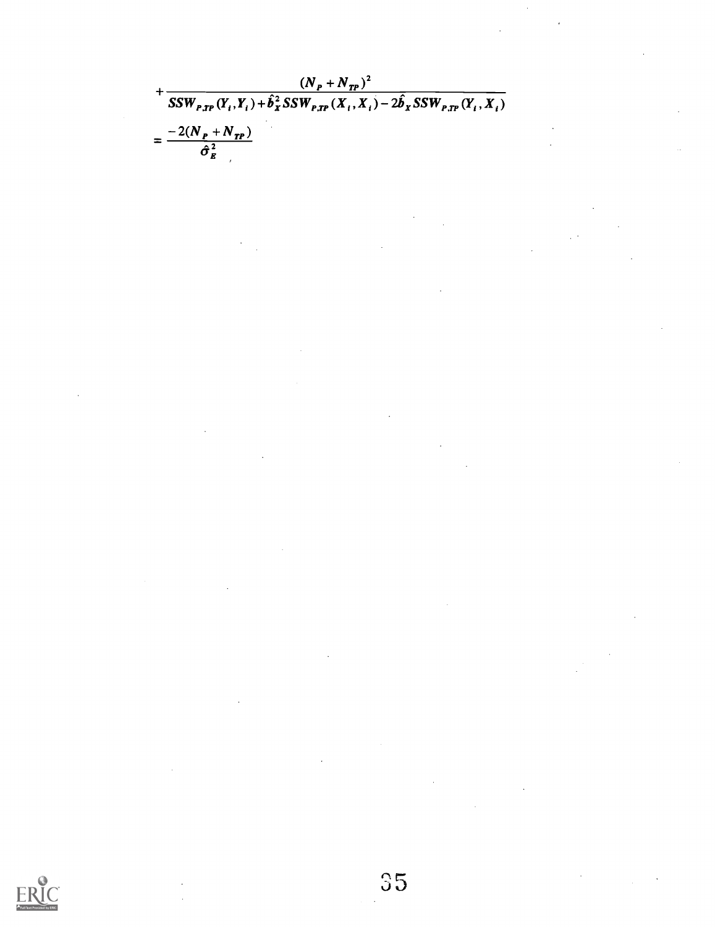$$
+\frac{(N_{P}+N_{TP})^{2}}{SSW_{P,TP}(Y_{i},Y_{i})+\hat{b}_{X}^{2}SSW_{P,TP}(X_{i},X_{i})-2\hat{b}_{X}SSW_{P,TP}(Y_{i},X_{i})}
$$

$$
=\frac{-2(N_{P}+N_{TP})}{\hat{\sigma}_{E}^{2}}
$$

 $\sum_{\text{Full fast Proposition} }\sum_{\text{Perioded by Euler}}$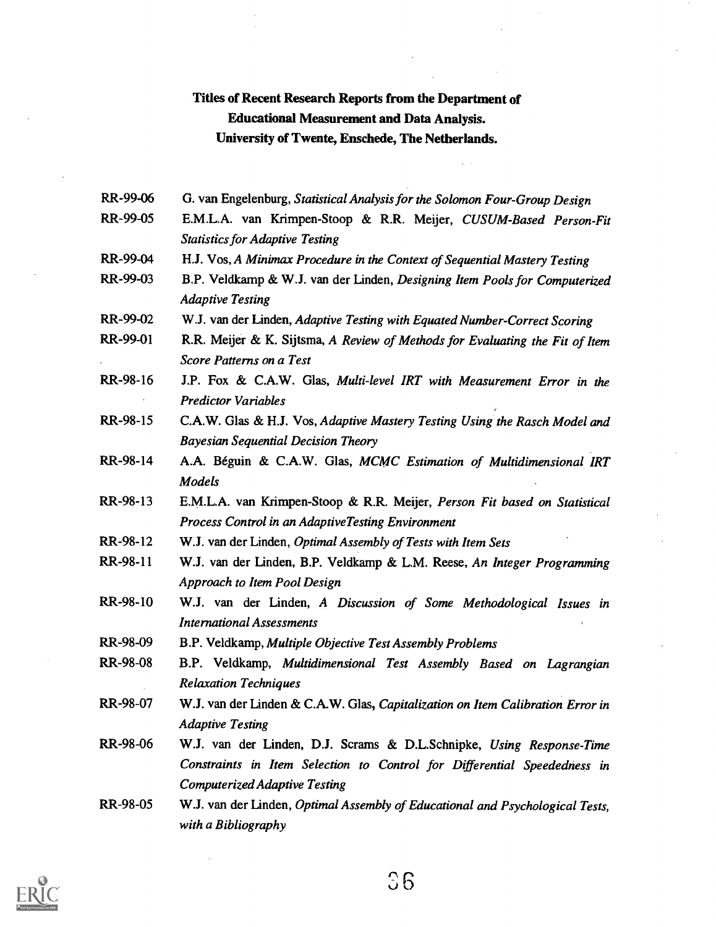#### Titles of Recent Research Reports from the Department of Educational Measurement and Data Analysis. University of Twente, Enschede, The Netherlands.

- RR-99-06 G. van Engelenburg, Statistical Analysis for the Solomon Four-Group Design
- RR-99-05 E.M.L.A. van Krimpen -Stoop & R.R. Meijer, CUSUM-Based Person-Fit Statistics for Adaptive Testing
- RR-99-04 H.J. Vos, A Minimax Procedure in the Context of Sequential Mastery Testing
- RR-99-03 B.P. Veldkamp & W.J. van der Linden, Designing Item Pools for Computerized Adaptive Testing
- RR-99-02 W.J. van der Linden, Adaptive Testing with Equated Number-Correct Scoring
- RR-99-01 R.R. Meijer & K. Sijtsma, A Review of Methods for Evaluating the Fit of Item Score Patterns on a Test
- RR-98-16 J.P. Fox & C.A.W. Glas, Multi-level IRT with Measurement Error in the Predictor Variables
- RR-98-15 C.A.W. Glas & H.J. Vos, Adaptive Mastery Testing Using the Rasch Model and Bayesian Sequential Decision Theory
- RR-98-14 A.A. Beguin & C.A.W. Glas, MCMC Estimation of Multidimensional IRT Models
- RR-98-13 E.M.L.A. van Krimpen-Stoop & R.R. Meijer, Person Fit based on Statistical Process Control in an AdaptiveTesting Environment
- RR-98-12 W.J. van der Linden, Optimal Assembly of Tests with Item Sets
- RR-98-11 W.J. van der Linden, B.P. Veldkamp & L.M. Reese, An Integer Programming Approach to Item Pool Design
- RR-98-10 W.J. van der Linden, A Discussion of Some Methodological Issues in International Assessments
- RR-98-09 B.P. Veldkamp, Multiple Objective Test Assembly Problems
- RR-98-08 B.P. Veldkamp, Multidimensional Test Assembly Based on Lagrangian Relaxation Techniques
- RR-98-07 W.J. van der Linden & C.A.W. Glas, Capitalization on Item Calibration Error in Adaptive Testing
- RR-98-06 W.J. van der Linden, D.J. Scrams & D.L.Schnipke, Using Response-Time Constraints in Item Selection to Control for Differential Speededness in Computerized Adaptive Testing
- RR-98-05 W.J. van der Linden, Optimal Assembly of Educational and Psychological Tests, with a Bibliography



ិ6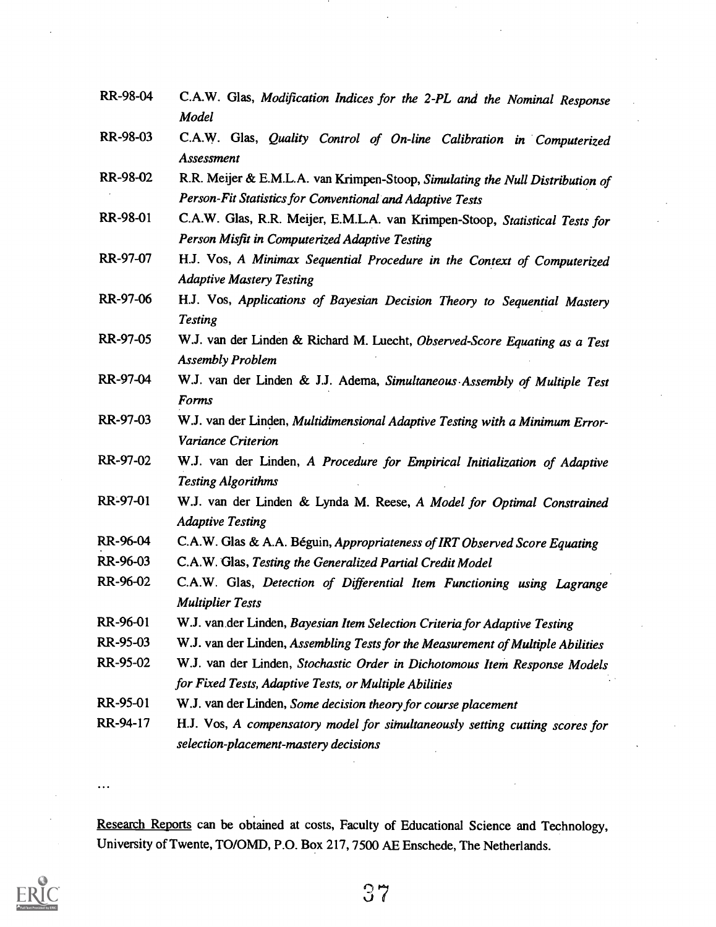- RR-98-04 C.A.W. Glas, Modification Indices for the 2-PL and the Nominal Response Model
- RR-98-03 C.A.W. Glas, Quality Control of On-line Calibration in Computerized Assessment
- RR-98-02 R.R. Meijer & E.M.L.A. van Krimpen-Stoop, Simulating the Null Distribution of Person-Fit Statistics for Conventional and Adaptive Tests
- RR-98-01 C.A.W. Glas, R.R. Meijer, E.M.L.A. van Krimpen-Stoop, Statistical Tests for Person Misfit in Computerized Adaptive Testing
- RR-97-07 H.J. Vos, A Minimax Sequential Procedure in the Context of Computerized Adaptive Mastery Testing
- RR-97-06 H.J. Vos, Applications of Bayesian Decision Theory to Sequential Mastery **Testing**
- RR-97-05 W.J. van der Linden & Richard M. Luecht, Observed-Score Equating as a Test Assembly Problem
- RR-97-04 W.J. van der Linden & J.J. Adema, Simultaneous Assembly of Multiple Test Forms
- RR-97-03 W.J. van der Linden, Multidimensional Adaptive Testing with a Minimum Error-Variance Criterion
- RR-97-02 W.J. van der Linden, A Procedure for Empirical Initialization of Adaptive Testing Algorithms
- RR-97-01 W.J. van der Linden & Lynda M. Reese, A Model for Optimal Constrained Adaptive Testing
- RR-96-04 C.A.W. Glas & A.A. Béguin, Appropriateness of IRT Observed Score Equating
- RR-96-03 C.A.W. Glas, Testing the Generalized Partial Credit Model
- RR-96-02 C.A.W. Glas, Detection of Differential Item Functioning using Lagrange Multiplier Tests
- RR-96-01 W.J. van.der Linden, Bayesian Item Selection Criteria for Adaptive Testing
- RR-95-03 W.J. van der Linden, Assembling Tests for the Measurement of Multiple Abilities
- RR-95-02 W.J. van der Linden, Stochastic Order in Dichotomous Item Response Models for Fixed Tests, Adaptive Tests, or Multiple Abilities
- RR-95-01 W.J. van der Linden, Some decision theory for course placement
- RR-94-17 H.J. Vos, A compensatory model for simultaneously setting cutting scores for selection-placement-mastery decisions

. . .

Research Reports can be obtained at costs, Faculty of Educational Science and Technology, University of Twente, TO/OMD, P.O. Box 217, 7500 AE Enschede, The Netherlands.

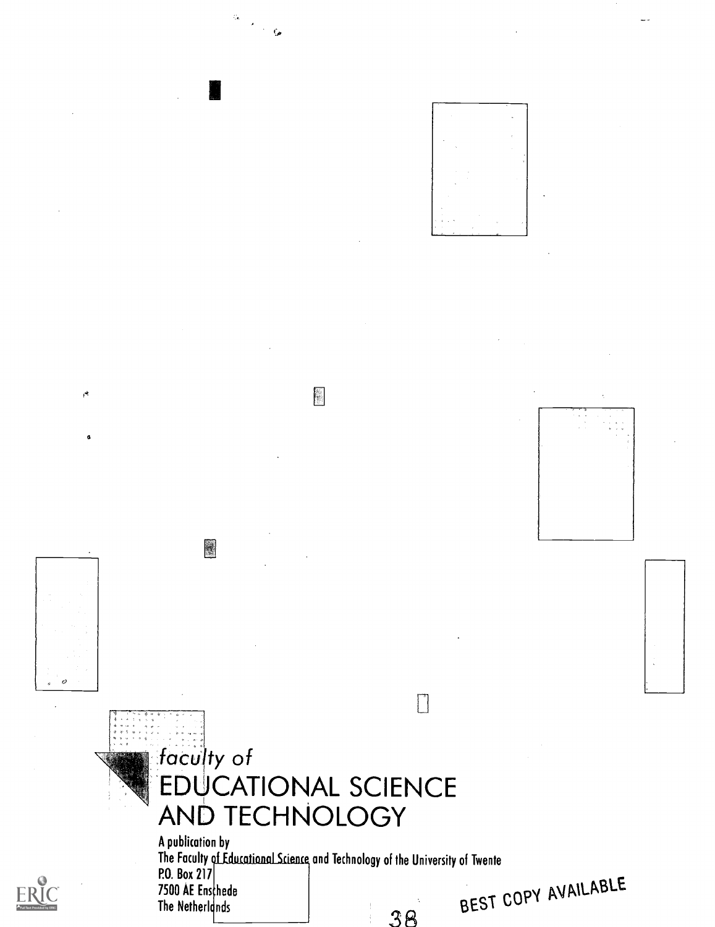











圛



 $\mathcal{O}$ 



# faculty of EDUCATIONAL SCIENCE AND TECHNOLOGY

A publication by rne raculty of Educational Science and Technology of the University of Twente P.O. Box 217 7500 AE Enschede The Netherlands REST COPY AVMENT 38





AVAILABLE